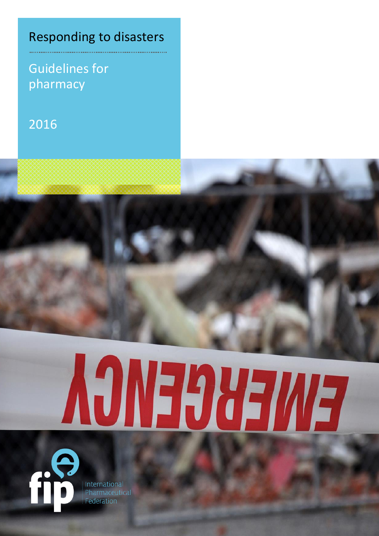## Responding to disasters

Guidelines for pharmacy

2016





International Pharmaceutical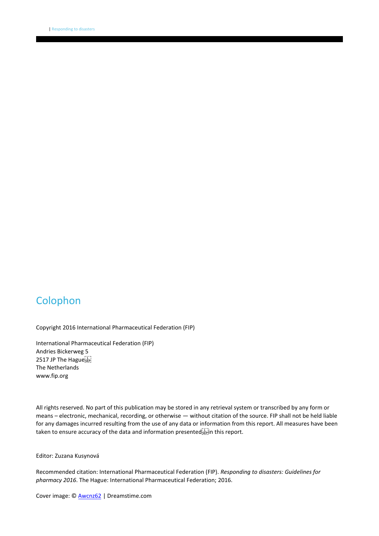## Colophon

Copyright 2016 International Pharmaceutical Federation (FIP)

International Pharmaceutical Federation (FIP) Andries Bickerweg 5 2517 JP The Hague The Netherlands www.fip.org

All rights reserved. No part of this publication may be stored in any retrieval system or transcribed by any form or means – electronic, mechanical, recording, or otherwise — without citation of the source. FIP shall not be held liable for any damages incurred resulting from the use of any data or information from this report. All measures have been taken to ensure accuracy of the data and information presented Fight this report.

Editor: Zuzana Kusynová

Recommended citation: International Pharmaceutical Federation (FIP). *Responding to disasters: Guidelines for pharmacy 2016*. The Hague: International Pharmaceutical Federation; 2016.

Cover image: © [Awcnz62](https://www.dreamstime.com/awcnz62_info) | Dreamstime.com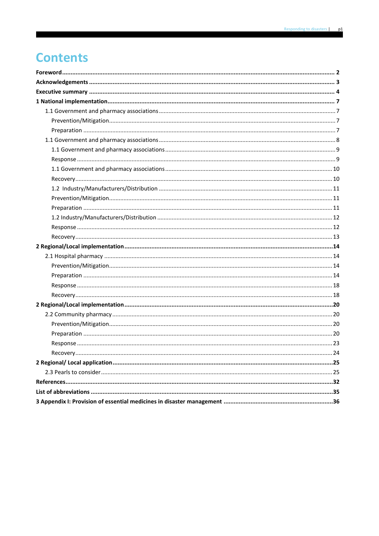# **Contents**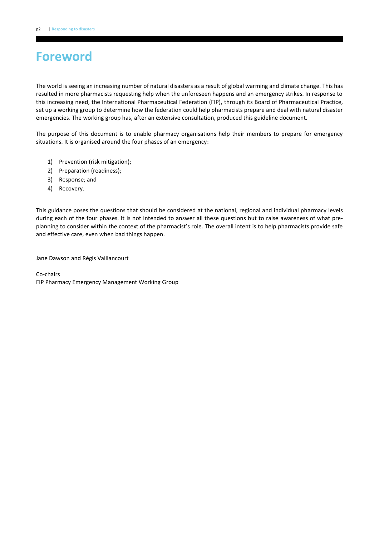## <span id="page-3-0"></span>**Foreword**

The world is seeing an increasing number of natural disasters as a result of global warming and climate change. This has resulted in more pharmacists requesting help when the unforeseen happens and an emergency strikes. In response to this increasing need, the International Pharmaceutical Federation (FIP), through its Board of Pharmaceutical Practice, set up a working group to determine how the federation could help pharmacists prepare and deal with natural disaster emergencies. The working group has, after an extensive consultation, produced this guideline document.

The purpose of this document is to enable pharmacy organisations help their members to prepare for emergency situations. It is organised around the four phases of an emergency:

- 1) Prevention (risk mitigation);
- 2) Preparation (readiness);
- 3) Response; and
- 4) Recovery.

This guidance poses the questions that should be considered at the national, regional and individual pharmacy levels during each of the four phases. It is not intended to answer all these questions but to raise awareness of what preplanning to consider within the context of the pharmacist's role. The overall intent is to help pharmacists provide safe and effective care, even when bad things happen.

Jane Dawson and Régis Vaillancourt

Co-chairs FIP Pharmacy Emergency Management Working Group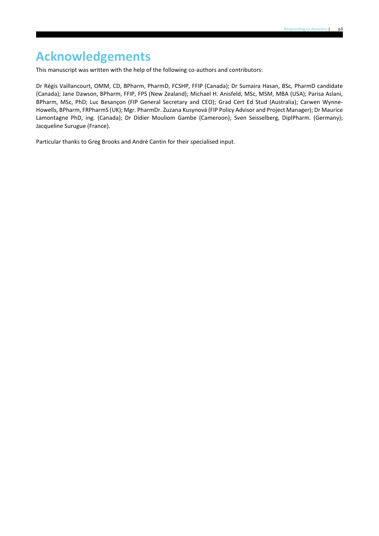## <span id="page-4-0"></span>**Acknowledgements**

This manuscript was written with the help of the following co-authors and contributors:

Dr Régis Vaillancourt, OMM, CD, BPharm, PharmD, FCSHP, FFIP (Canada); Dr Sumaira Hasan, BSc, PharmD candidate (Canada); Jane Dawson, BPharm, FFIP, FPS (New Zealand); Michael H. Anisfeld, MSc, MSM, MBA (USA); Parisa Aslani, BPharm, MSc, PhD; Luc Besançon (FIP General Secretary and CEO); Grad Cert Ed Stud (Australia); Carwen Wynne-Howells, BPharm, FRPharmS (UK); Mgr. PharmDr. Zuzana Kusynová (FIP Policy Advisor and Project Manager); Dr Maurice Lamontagne PhD, ing. (Canada); Dr Didier Mouliom Gambe (Cameroon); Sven Seisselberg, DiplPharm. (Germany); Jacqueline Surugue (France).

Particular thanks to Greg Brooks and André Cantin for their specialised input.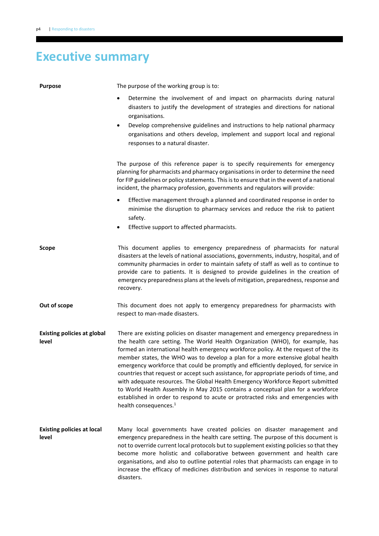# <span id="page-5-0"></span>**Executive summary**

| <b>Purpose</b>                              | The purpose of the working group is to:                                                                                                                                                                                                                                                                                                                                                                                                                                                                                                                                                                                                                                                                                                                                                                                        |  |  |
|---------------------------------------------|--------------------------------------------------------------------------------------------------------------------------------------------------------------------------------------------------------------------------------------------------------------------------------------------------------------------------------------------------------------------------------------------------------------------------------------------------------------------------------------------------------------------------------------------------------------------------------------------------------------------------------------------------------------------------------------------------------------------------------------------------------------------------------------------------------------------------------|--|--|
|                                             | Determine the involvement of and impact on pharmacists during natural<br>$\bullet$<br>disasters to justify the development of strategies and directions for national<br>organisations.                                                                                                                                                                                                                                                                                                                                                                                                                                                                                                                                                                                                                                         |  |  |
|                                             | Develop comprehensive guidelines and instructions to help national pharmacy<br>٠<br>organisations and others develop, implement and support local and regional<br>responses to a natural disaster.                                                                                                                                                                                                                                                                                                                                                                                                                                                                                                                                                                                                                             |  |  |
|                                             | The purpose of this reference paper is to specify requirements for emergency<br>planning for pharmacists and pharmacy organisations in order to determine the need<br>for FIP guidelines or policy statements. This is to ensure that in the event of a national<br>incident, the pharmacy profession, governments and regulators will provide:                                                                                                                                                                                                                                                                                                                                                                                                                                                                                |  |  |
|                                             | Effective management through a planned and coordinated response in order to<br>٠<br>minimise the disruption to pharmacy services and reduce the risk to patient<br>safety.                                                                                                                                                                                                                                                                                                                                                                                                                                                                                                                                                                                                                                                     |  |  |
|                                             | Effective support to affected pharmacists.<br>٠                                                                                                                                                                                                                                                                                                                                                                                                                                                                                                                                                                                                                                                                                                                                                                                |  |  |
| <b>Scope</b>                                | This document applies to emergency preparedness of pharmacists for natural<br>disasters at the levels of national associations, governments, industry, hospital, and of<br>community pharmacies in order to maintain safety of staff as well as to continue to<br>provide care to patients. It is designed to provide guidelines in the creation of<br>emergency preparedness plans at the levels of mitigation, preparedness, response and<br>recovery.                                                                                                                                                                                                                                                                                                                                                                       |  |  |
| Out of scope                                | This document does not apply to emergency preparedness for pharmacists with<br>respect to man-made disasters.                                                                                                                                                                                                                                                                                                                                                                                                                                                                                                                                                                                                                                                                                                                  |  |  |
| <b>Existing policies at global</b><br>level | There are existing policies on disaster management and emergency preparedness in<br>the health care setting. The World Health Organization (WHO), for example, has<br>formed an international health emergency workforce policy. At the request of the its<br>member states, the WHO was to develop a plan for a more extensive global health<br>emergency workforce that could be promptly and efficiently deployed, for service in<br>countries that request or accept such assistance, for appropriate periods of time, and<br>with adequate resources. The Global Health Emergency Workforce Report submitted<br>to World Health Assembly in May 2015 contains a conceptual plan for a workforce<br>established in order to respond to acute or protracted risks and emergencies with<br>health consequences. <sup>1</sup> |  |  |
| <b>Existing policies at local</b><br>level  | Many local governments have created policies on disaster management and<br>emergency preparedness in the health care setting. The purpose of this document is<br>not to override current local protocols but to supplement existing policies so that they<br>become more holistic and collaborative between government and health care<br>organisations, and also to outline potential roles that pharmacists can engage in to<br>increase the efficacy of medicines distribution and services in response to natural<br>disasters.                                                                                                                                                                                                                                                                                            |  |  |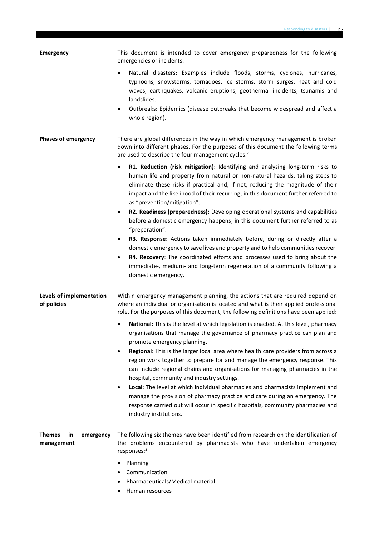| <b>Emergency</b>                               | This document is intended to cover emergency preparedness for the following<br>emergencies or incidents:                                                                                                                                                                                                                                                                                                                                                                                                                                                                                                                                                                                                                                                                                                                                                                                                                                        |
|------------------------------------------------|-------------------------------------------------------------------------------------------------------------------------------------------------------------------------------------------------------------------------------------------------------------------------------------------------------------------------------------------------------------------------------------------------------------------------------------------------------------------------------------------------------------------------------------------------------------------------------------------------------------------------------------------------------------------------------------------------------------------------------------------------------------------------------------------------------------------------------------------------------------------------------------------------------------------------------------------------|
|                                                | Natural disasters: Examples include floods, storms, cyclones, hurricanes,<br>$\bullet$<br>typhoons, snowstorms, tornadoes, ice storms, storm surges, heat and cold<br>waves, earthquakes, volcanic eruptions, geothermal incidents, tsunamis and<br>landslides.<br>Outbreaks: Epidemics (disease outbreaks that become widespread and affect a<br>$\bullet$<br>whole region).                                                                                                                                                                                                                                                                                                                                                                                                                                                                                                                                                                   |
| <b>Phases of emergency</b>                     | There are global differences in the way in which emergency management is broken<br>down into different phases. For the purposes of this document the following terms<br>are used to describe the four management cycles: <sup>2</sup>                                                                                                                                                                                                                                                                                                                                                                                                                                                                                                                                                                                                                                                                                                           |
|                                                | R1. Reduction (risk mitigation): Identifying and analysing long-term risks to<br>٠<br>human life and property from natural or non-natural hazards; taking steps to<br>eliminate these risks if practical and, if not, reducing the magnitude of their<br>impact and the likelihood of their recurring; in this document further referred to<br>as "prevention/mitigation".<br>R2. Readiness (preparedness): Developing operational systems and capabilities<br>٠<br>before a domestic emergency happens; in this document further referred to as<br>"preparation".<br>R3. Response: Actions taken immediately before, during or directly after a<br>$\bullet$<br>domestic emergency to save lives and property and to help communities recover.<br>R4. Recovery: The coordinated efforts and processes used to bring about the<br>$\bullet$<br>immediate-, medium- and long-term regeneration of a community following a<br>domestic emergency. |
| Levels of implementation<br>of policies        | Within emergency management planning, the actions that are required depend on<br>where an individual or organisation is located and what is their applied professional<br>role. For the purposes of this document, the following definitions have been applied:                                                                                                                                                                                                                                                                                                                                                                                                                                                                                                                                                                                                                                                                                 |
|                                                | National: This is the level at which legislation is enacted. At this level, pharmacy<br>organisations that manage the governance of pharmacy practice can plan and<br>promote emergency planning.<br>Regional: This is the larger local area where health care providers from across a<br>region work together to prepare for and manage the emergency response. This<br>can include regional chains and organisations for managing pharmacies in the<br>hospital, community and industry settings.<br><b>Local:</b> The level at which individual pharmacies and pharmacists implement and<br>٠<br>manage the provision of pharmacy practice and care during an emergency. The<br>response carried out will occur in specific hospitals, community pharmacies and<br>industry institutions.                                                                                                                                                    |
| <b>Themes</b><br>in<br>emergency<br>management | The following six themes have been identified from research on the identification of<br>the problems encountered by pharmacists who have undertaken emergency<br>responses: <sup>3</sup><br>Planning<br>Communication                                                                                                                                                                                                                                                                                                                                                                                                                                                                                                                                                                                                                                                                                                                           |
|                                                | Pharmaceuticals/Medical material                                                                                                                                                                                                                                                                                                                                                                                                                                                                                                                                                                                                                                                                                                                                                                                                                                                                                                                |

- 
- Human resources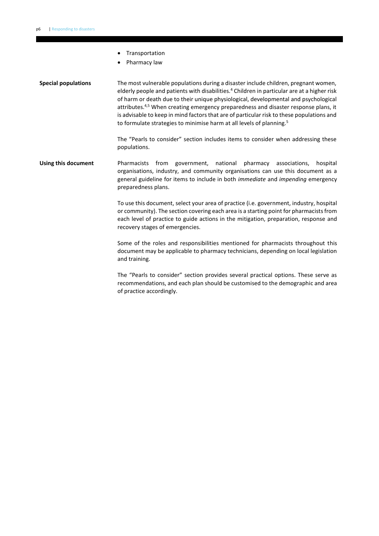- Transportation
- Pharmacy law

### **Special populations** The most vulnerable populations during a disaster include children, pregnant women, elderly people and patients with disabilities.<sup>4</sup> Children in particular are at a higher risk of harm or death due to their unique physiological, developmental and psychological attributes.<sup>4,5</sup> When creating emergency preparedness and disaster response plans, it is advisable to keep in mind factors that are of particular risk to these populations and to formulate strategies to minimise harm at all levels of planning.<sup>5</sup>

The "Pearls to consider" section includes items to consider when addressing these populations.

**Using this document** Pharmacists from government, national pharmacy associations, hospital organisations, industry, and community organisations can use this document as a general guideline for items to include in both *immediate* and *impending* emergency preparedness plans.

> To use this document, select your area of practice (i.e. government, industry, hospital or community). The section covering each area is a starting point for pharmacists from each level of practice to guide actions in the mitigation, preparation, response and recovery stages of emergencies.

> Some of the roles and responsibilities mentioned for pharmacists throughout this document may be applicable to pharmacy technicians, depending on local legislation and training.

> The "Pearls to consider" section provides several practical options. These serve as recommendations, and each plan should be customised to the demographic and area of practice accordingly.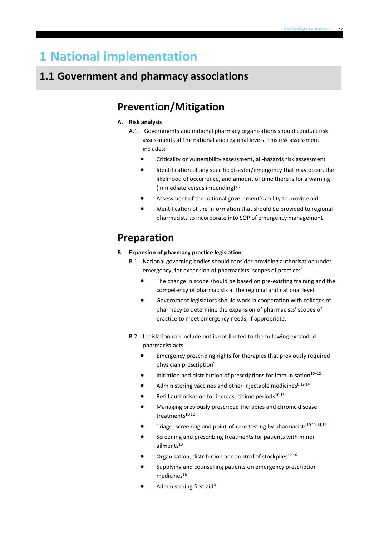## <span id="page-8-0"></span>**1 National implementation**

### <span id="page-8-1"></span>**1.1 Government and pharmacy associations**

### <span id="page-8-2"></span>**Prevention/Mitigation**

### **A. Risk analysis**

- A.1. Governments and national pharmacy organisations should conduct risk assessments at the national and regional levels. This risk assessment includes:
	- Criticality or vulnerability assessment, all-hazards risk assessment
	- Identification of any specific disaster/emergency that may occur, the likelihood of occurrence, and amount of time there is for a warning (immediate versus impending)<sup>6,7</sup>
	- Assessment of the national government's ability to provide aid
	- Identification of the information that should be provided to regional pharmacists to incorporate into SOP of emergency management

### <span id="page-8-3"></span>**Preparation**

- **B. Expansion of pharmacy practice legislation**
	- B.1. National governing bodies should consider providing authorisation under emergency, for expansion of pharmacists' scopes of practice:<sup>8</sup>
		- The change in scope should be based on pre-existing training and the competency of pharmacists at the regional and national level.
		- Government legislators should work in cooperation with colleges of pharmacy to determine the expansion of pharmacists' scopes of practice to meet emergency needs, if appropriate.
	- B.2. Legislation can include but is not limited to the following expanded pharmacist acts:
		- Emergency prescribing rights for therapies that previously required physician prescription<sup>9</sup>
		- Initiation and distribution of prescriptions for immunisation $10-12$
		- $\bullet$  Administering vaccines and other injectable medicines<sup>8,12,14</sup>
		- Refill authorisation for increased time periods<sup>10,13</sup>
		- Managing previously prescribed therapies and chronic disease treatments<sup>10,12</sup>
		- Triage, screening and point-of-care testing by pharmacists $10,11,14,15$
		- Screening and prescribing treatments for patients with minor  $ailments<sup>10</sup>$
		- Organisation, distribution and control of stockpiles<sup>12,16</sup>
		- Supplying and counselling patients on emergency prescription medicines<sup>16</sup>
		- Administering first aid<sup>8</sup>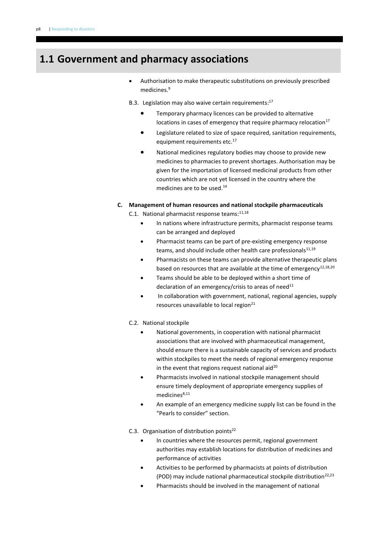### <span id="page-9-0"></span>**1.1 Government and pharmacy associations**

- Authorisation to make therapeutic substitutions on previously prescribed medicines.<sup>9</sup>
- B.3. Legislation may also waive certain requirements:<sup>17</sup>
	- Temporary pharmacy licences can be provided to alternative locations in cases of emergency that require pharmacy relocation $17$
	- Legislature related to size of space required, sanitation requirements, equipment requirements etc.<sup>17</sup>
	- National medicines regulatory bodies may choose to provide new medicines to pharmacies to prevent shortages. Authorisation may be given for the importation of licensed medicinal products from other countries which are not yet licensed in the country where the medicines are to be used.<sup>14</sup>
- **C. Management of human resources and national stockpile pharmaceuticals**
	- C.1. National pharmacist response teams: 11,18
		- In nations where infrastructure permits, pharmacist response teams can be arranged and deployed
		- Pharmacist teams can be part of pre-existing emergency response teams, and should include other health care professionals $11,19$
		- Pharmacists on these teams can provide alternative therapeutic plans based on resources that are available at the time of emergency<sup>12,18,20</sup>
		- Teams should be able to be deployed within a short time of declaration of an emergency/crisis to areas of need $^{11}$
		- In collaboration with government, national, regional agencies, supply resources unavailable to local region $21$
	- C.2. National stockpile
		- National governments, in cooperation with national pharmacist associations that are involved with pharmaceutical management, should ensure there is a sustainable capacity of services and products within stockpiles to meet the needs of regional emergency response in the event that regions request national aid $^{20}$
		- Pharmacists involved in national stockpile management should ensure timely deployment of appropriate emergency supplies of  $medicines<sup>8,11</sup>$
		- An example of an emergency medicine supply list can be found in the "Pearls to consider" section.

### C.3. Organisation of distribution points<sup>22</sup>

- In countries where the resources permit, regional government authorities may establish locations for distribution of medicines and performance of activities
- Activities to be performed by pharmacists at points of distribution (POD) may include national pharmaceutical stockpile distribution $22,23$
- Pharmacists should be involved in the management of national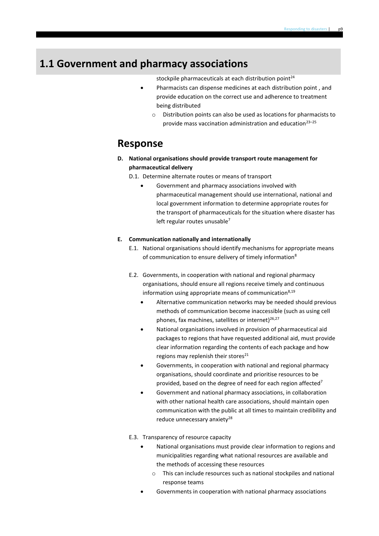### <span id="page-10-0"></span>**1.1 Government and pharmacy associations**

stockpile pharmaceuticals at each distribution point<sup>24</sup>

- Pharmacists can dispense medicines at each distribution point , and provide education on the correct use and adherence to treatment being distributed
	- o Distribution points can also be used as locations for pharmacists to provide mass vaccination administration and education $23-25$

### <span id="page-10-1"></span>**Response**

- **D. National organisations should provide transport route management for pharmaceutical delivery**
	- D.1. Determine alternate routes or means of transport
		- Government and pharmacy associations involved with pharmaceutical management should use international, national and local government information to determine appropriate routes for the transport of pharmaceuticals for the situation where disaster has left regular routes unusable $<sup>7</sup>$ </sup>

#### **E. Communication nationally and internationally**

- E.1. National organisations should identify mechanisms for appropriate means of communication to ensure delivery of timely information<sup>8</sup>
- E.2. Governments, in cooperation with national and regional pharmacy organisations, should ensure all regions receive timely and continuous information using appropriate means of communication $8,19$ 
	- Alternative communication networks may be needed should previous methods of communication become inaccessible (such as using cell phones, fax machines, satellites or internet) $26,27$
	- National organisations involved in provision of pharmaceutical aid packages to regions that have requested additional aid, must provide clear information regarding the contents of each package and how regions may replenish their stores $^{21}$
	- Governments, in cooperation with national and regional pharmacy organisations, should coordinate and prioritise resources to be provided, based on the degree of need for each region affected<sup>7</sup>
	- Government and national pharmacy associations, in collaboration with other national health care associations, should maintain open communication with the public at all times to maintain credibility and reduce unnecessary anxiety<sup>28</sup>
- E.3. Transparency of resource capacity
	- National organisations must provide clear information to regions and municipalities regarding what national resources are available and the methods of accessing these resources
		- o This can include resources such as national stockpiles and national response teams
	- Governments in cooperation with national pharmacy associations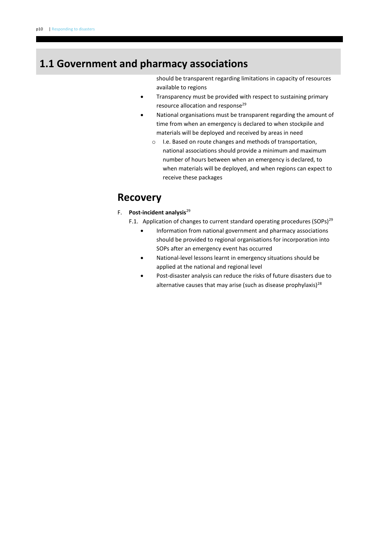## <span id="page-11-0"></span>**1.1 Government and pharmacy associations**

should be transparent regarding limitations in capacity of resources available to regions

- Transparency must be provided with respect to sustaining primary resource allocation and response<sup>29</sup>
- National organisations must be transparent regarding the amount of time from when an emergency is declared to when stockpile and materials will be deployed and received by areas in need
	- o I.e. Based on route changes and methods of transportation, national associations should provide a minimum and maximum number of hours between when an emergency is declared, to when materials will be deployed, and when regions can expect to receive these packages

## <span id="page-11-1"></span>**Recovery**

- F. **Post-incident analysis**<sup>29</sup>
	- F.1. Application of changes to current standard operating procedures (SOPs)<sup>29</sup>
		- Information from national government and pharmacy associations should be provided to regional organisations for incorporation into SOPs after an emergency event has occurred
		- National-level lessons learnt in emergency situations should be applied at the national and regional level
		- Post-disaster analysis can reduce the risks of future disasters due to alternative causes that may arise (such as disease prophylaxis) $^{28}$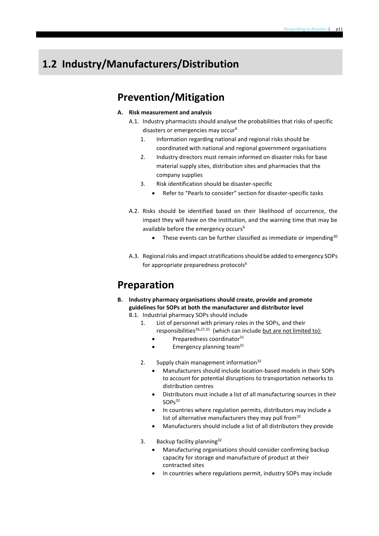## <span id="page-12-0"></span>**1.2 Industry/Manufacturers/Distribution**

### <span id="page-12-1"></span>**Prevention/Mitigation**

#### **A. Risk measurement and analysis**

- A.1. Industry pharmacists should analyse the probabilities that risks of specific disasters or emergencies may occur<sup>6</sup>
	- 1. Information regarding national and regional risks should be coordinated with national and regional government organisations
	- 2. Industry directors must remain informed on disaster risks for base material supply sites, distribution sites and pharmacies that the company supplies
	- 3. Risk identification should be disaster-specific
		- Refer to "Pearls to consider" section for disaster-specific tasks
- A.2. Risks should be identified based on their likelihood of occurrence, the impact they will have on the institution, and the warning time that may be available before the emergency occurs<sup>6</sup>
	- These events can be further classified as immediate or impending $30$
- A.3. Regional risks and impact stratifications should be added to emergency SOPs for appropriate preparedness protocols $6$

### <span id="page-12-2"></span>**Preparation**

- **B. Industry pharmacy organisations should create, provide and promote guidelines for SOPs at both the manufacturer and distributor level**
	- B.1. Industrial pharmacy SOPs should include
		- 1. List of personnel with primary roles in the SOPs, and their responsibilities<sup>26,27,31</sup> (which can include <u>but are not limited to)</u>:
			- Preparedness coordinator<sup>31</sup>
			- Emergency planning team $31$
		- 2. Supply chain management information<sup>32</sup>
			- Manufacturers should include location-based models in their SOPs to account for potential disruptions to transportation networks to distribution centres
			- Distributors must include a list of all manufacturing sources in their SOPs 32
			- In countries where regulation permits, distributors may include a list of alternative manufacturers they may pull from $32$
			- Manufacturers should include a list of all distributors they provide
		- 3. Backup facility planning<sup>32</sup>
			- Manufacturing organisations should consider confirming backup capacity for storage and manufacture of product at their contracted sites
			- In countries where regulations permit, industry SOPs may include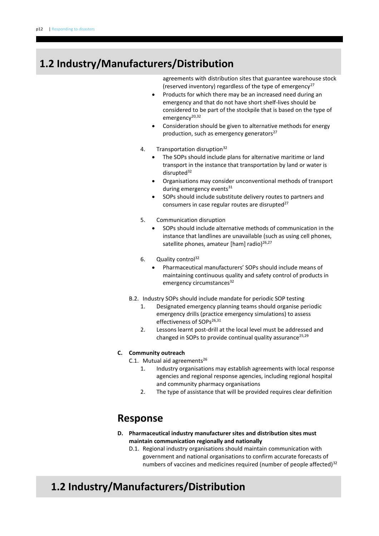## <span id="page-13-0"></span>**1.2 Industry/Manufacturers/Distribution**

agreements with distribution sites that guarantee warehouse stock (reserved inventory) regardless of the type of emergency<sup>27</sup>

- Products for which there may be an increased need during an emergency and that do not have short shelf-lives should be considered to be part of the stockpile that is based on the type of emergency<sup>20,32</sup>
- Consideration should be given to alternative methods for energy production, such as emergency generators $27$
- 4. Transportation disruption<sup>32</sup>
	- The SOPs should include plans for alternative maritime or land transport in the instance that transportation by land or water is disrupted<sup>32</sup>
	- Organisations may consider unconventional methods of transport during emergency events<sup>31</sup>
	- SOPs should include substitute delivery routes to partners and consumers in case regular routes are disrupted<sup>27</sup>
- 5. Communication disruption
	- SOPs should include alternative methods of communication in the instance that landlines are unavailable (such as using cell phones, satellite phones, amateur [ham] radio $)^{26,27}$
- 6. Quality control<sup>32</sup>
	- Pharmaceutical manufacturers' SOPs should include means of maintaining continuous quality and safety control of products in emergency circumstances<sup>32</sup>
- B.2. Industry SOPs should include mandate for periodic SOP testing
	- 1. Designated emergency planning teams should organise periodic emergency drills (practice emergency simulations) to assess effectiveness of SOPs<sup>26,31</sup>
	- 2. Lessons learnt post-drill at the local level must be addressed and changed in SOPs to provide continual quality assurance<sup>25,29</sup>

### **C. Community outreach**

- C.1. Mutual aid agreements<sup>26</sup>
	- 1. Industry organisations may establish agreements with local response agencies and regional response agencies, including regional hospital and community pharmacy organisations
	- 2. The type of assistance that will be provided requires clear definition

### <span id="page-13-1"></span>**Response**

- **D. Pharmaceutical industry manufacturer sites and distribution sites must maintain communication regionally and nationally**
	- D.1. Regional industry organisations should maintain communication with government and national organisations to confirm accurate forecasts of numbers of vaccines and medicines required (number of people affected)<sup>32</sup>

## **1.2 Industry/Manufacturers/Distribution**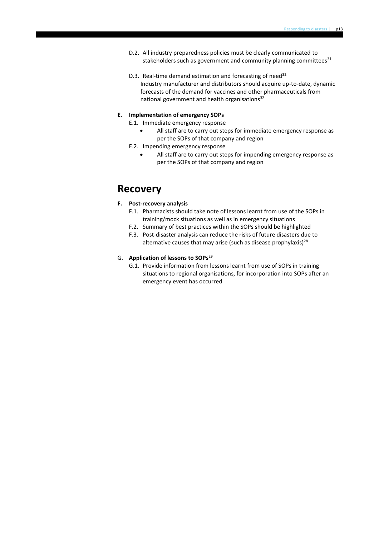- D.2. All industry preparedness policies must be clearly communicated to stakeholders such as government and community planning committees $31$
- D.3. Real-time demand estimation and forecasting of need<sup>32</sup> Industry manufacturer and distributors should acquire up-to-date, dynamic forecasts of the demand for vaccines and other pharmaceuticals from national government and health organisations $^{32}$

#### **E. Implementation of emergency SOPs**

E.1. Immediate emergency response

- All staff are to carry out steps for immediate emergency response as per the SOPs of that company and region
- E.2. Impending emergency response
	- All staff are to carry out steps for impending emergency response as per the SOPs of that company and region

### <span id="page-14-0"></span>**Recovery**

#### **F. Post-recovery analysis**

- F.1. Pharmacists should take note of lessons learnt from use of the SOPs in training/mock situations as well as in emergency situations
- F.2. Summary of best practices within the SOPs should be highlighted
- F.3. Post-disaster analysis can reduce the risks of future disasters due to alternative causes that may arise (such as disease prophylaxis)<sup>28</sup>

#### G. **Application of lessons to SOPs** 29

G.1. Provide information from lessons learnt from use of SOPs in training situations to regional organisations, for incorporation into SOPs after an emergency event has occurred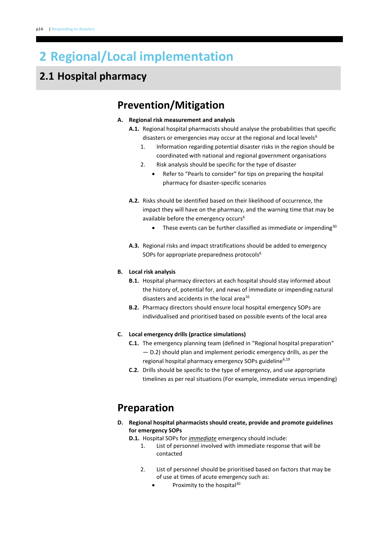## <span id="page-15-1"></span><span id="page-15-0"></span>**2.1 Hospital pharmacy**

## <span id="page-15-2"></span>**Prevention/Mitigation**

### **A. Regional risk measurement and analysis**

- **A.1.** Regional hospital pharmacists should analyse the probabilities that specific disasters or emergencies may occur at the regional and local levels $6$ 
	- 1. Information regarding potential disaster risks in the region should be coordinated with national and regional government organisations
	- 2. Risk analysis should be specific for the type of disaster
		- Refer to "Pearls to consider" for tips on preparing the hospital pharmacy for disaster-specific scenarios
- **A.2.** Risks should be identified based on their likelihood of occurrence, the impact they will have on the pharmacy, and the warning time that may be available before the emergency occurs<sup>6</sup>
	- These events can be further classified as immediate or impending $30$
- **A.3.** Regional risks and impact stratifications should be added to emergency SOPs for appropriate preparedness protocols<sup>6</sup>

### **B. Local risk analysis**

- **B.1.** Hospital pharmacy directors at each hospital should stay informed about the history of, potential for, and news of immediate or impending natural disasters and accidents in the local area<sup>16</sup>
- **B.2.** Pharmacy directors should ensure local hospital emergency SOPs are individualised and prioritised based on possible events of the local area

### **C. Local emergency drills (practice simulations)**

- **C.1.** The emergency planning team (defined in "Regional hospital preparation" — D.2) should plan and implement periodic emergency drills, as per the regional hospital pharmacy emergency SOPs guideline<sup>6,19</sup>
- **C.2.** Drills should be specific to the type of emergency, and use appropriate timelines as per real situations (For example, immediate versus impending)

## <span id="page-15-3"></span>**Preparation**

- **D. Regional hospital pharmacists should create, provide and promote guidelines for emergency SOPs**
	- **D.1.** Hospital SOPs for *immediate* emergency should include:
		- 1. List of personnel involved with immediate response that will be contacted
		- 2. List of personnel should be prioritised based on factors that may be of use at times of acute emergency such as:
			- Proximity to the hospital<sup>30</sup>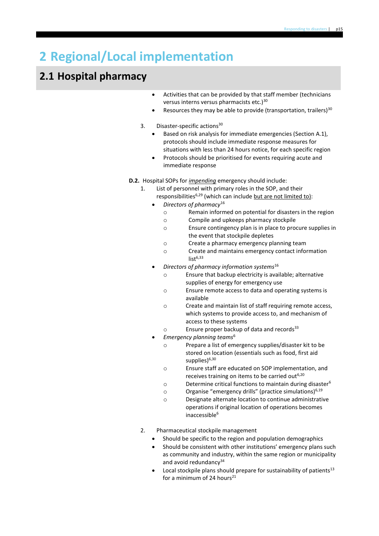## **2.1 Hospital pharmacy**

- Activities that can be provided by that staff member (technicians versus interns versus pharmacists etc.)<sup>30</sup>
- Resources they may be able to provide (transportation, trailers) $30$
- 3. Disaster-specific actions<sup>30</sup>
	- Based on risk analysis for immediate emergencies (Section A.1), protocols should include immediate response measures for situations with less than 24 hours notice, for each specific region
	- Protocols should be prioritised for events requiring acute and immediate response
- **D.2.** Hospital SOPs for *impending* emergency should include:
	- 1. List of personnel with primary roles in the SOP, and their
		- responsibilities<sup>6,29</sup> (which can include but are not limited to): • *Directors of pharmacy*<sup>16</sup>
			- o Remain informed on potential for disasters in the region
			- o Compile and upkeeps pharmacy stockpile
		- o Ensure contingency plan is in place to procure supplies in the event that stockpile depletes
		- o Create a pharmacy emergency planning team
		- o Create and maintains emergency contact information  $list^{6,33}$
		- *Directors of pharmacy information systems*<sup>16</sup>
			- o Ensure that backup electricity is available; alternative supplies of energy for emergency use
			- o Ensure remote access to data and operating systems is available
			- o Create and maintain list of staff requiring remote access, which systems to provide access to, and mechanism of access to these systems
			- o Ensure proper backup of data and records<sup>33</sup>
		- *Emergency planning teams*<sup>6</sup>
			- o Prepare a list of emergency supplies/disaster kit to be stored on location (essentials such as food, first aid supplies)<sup>6,30</sup>
			- o Ensure staff are educated on SOP implementation, and receives training on items to be carried out<sup>6,20</sup>
			- o Determine critical functions to maintain during disaster<sup>6</sup>
			- $\circ$  Organise "emergency drills" (practice simulations)<sup>6,19</sup>
			- o Designate alternate location to continue administrative operations if original location of operations becomes inaccessible<sup>6</sup>
	- 2. Pharmaceutical stockpile management
		- Should be specific to the region and population demographics
		- Should be consistent with other institutions' emergency plans such as community and industry, within the same region or municipality and avoid redundancy<sup>34</sup>
		- Local stockpile plans should prepare for sustainability of patients<sup>13</sup> for a minimum of 24 hours<sup>21</sup>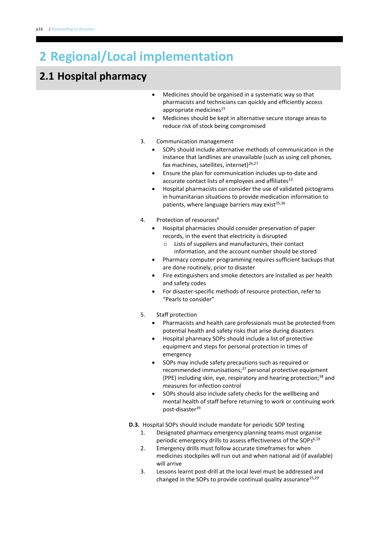## **2.1 Hospital pharmacy**

- Medicines should be organised in a systematic way so that pharmacists and technicians can quickly and efficiently access appropriate medicines<sup>15</sup>
- Medicines should be kept in alternative secure storage areas to reduce risk of stock being compromised
- 3. Communication management
	- SOPs should include alternative methods of communication in the instance that landlines are unavailable (such as using cell phones, fax machines, satellites, internet) $26,27$
	- Ensure the plan for communication includes up-to-date and accurate contact lists of employees and affiliates<sup>13</sup>
	- Hospital pharmacists can consider the use of validated pictograms in humanitarian situations to provide medication information to patients, where language barriers may exist<sup>35,36</sup>
- 4. Protection of resources<sup>6</sup>
	- Hospital pharmacies should consider preservation of paper records, in the event that electricity is disrupted
		- o Lists of suppliers and manufacturers, their contact information, and the account number should be stored
	- Pharmacy computer programming requires sufficient backups that are done routinely, prior to disaster
	- Fire extinguishers and smoke detectors are installed as per health and safety codes
	- For disaster-specific methods of resource protection, refer to "Pearls to consider"
- 5. Staff protection
	- Pharmacists and health care professionals must be protected from potential health and safety risks that arise during disasters
	- Hospital pharmacy SOPs should include a list of protective equipment and steps for personal protection in times of emergency
	- SOPs may include safety precautions such as required or recommended immunisations;<sup>37</sup> personal protective equipment (PPE) including skin, eye, respiratory and hearing protection; $38$  and measures for infection control
	- SOPs should also include safety checks for the wellbeing and mental health of staff before returning to work or continuing work post-disaster<sup>39</sup>
- **D.3.** Hospital SOPs should include mandate for periodic SOP testing
	- 1. Designated pharmacy emergency planning teams must organise periodic emergency drills to assess effectiveness of the SOPs<sup>6,19</sup>
	- 2. Emergency drills must follow accurate timeframes for when medicines stockpiles will run out and when national aid (if available) will arrive
	- 3. Lessons learnt post-drill at the local level must be addressed and changed in the SOPs to provide continual quality assurance<sup>25,29</sup>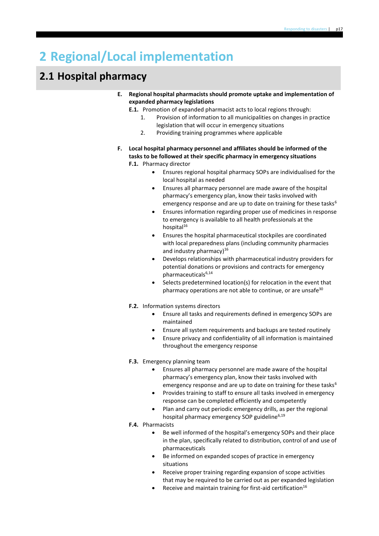## **2.1 Hospital pharmacy**

- **E. Regional hospital pharmacists should promote uptake and implementation of expanded pharmacy legislations**
	- **E.1.** Promotion of expanded pharmacist acts to local regions through:
		- 1. Provision of information to all municipalities on changes in practice legislation that will occur in emergency situations
		- 2. Providing training programmes where applicable
- **F. Local hospital pharmacy personnel and affiliates should be informed of the tasks to be followed at their specific pharmacy in emergency situations F.1.** Pharmacy director
	- Ensures regional hospital pharmacy SOPs are individualised for the local hospital as needed
	- Ensures all pharmacy personnel are made aware of the hospital pharmacy's emergency plan, know their tasks involved with emergency response and are up to date on training for these tasks<sup>6</sup>
	- Ensures information regarding proper use of medicines in response to emergency is available to all health professionals at the hospital<sup>16</sup>
	- Ensures the hospital pharmaceutical stockpiles are coordinated with local preparedness plans (including community pharmacies and industry pharmacy)<sup>16</sup>
	- Develops relationships with pharmaceutical industry providers for potential donations or provisions and contracts for emergency pharmaceuticals<sup>6,14</sup>
	- Selects predetermined location(s) for relocation in the event that pharmacy operations are not able to continue, or are unsafe $30$
	- **F.2.** Information systems directors
		- Ensure all tasks and requirements defined in emergency SOPs are maintained
		- Ensure all system requirements and backups are tested routinely
		- Ensure privacy and confidentiality of all information is maintained throughout the emergency response
	- **F.3.** Emergency planning team
		- Ensures all pharmacy personnel are made aware of the hospital pharmacy's emergency plan, know their tasks involved with emergency response and are up to date on training for these tasks<sup>6</sup>
		- Provides training to staff to ensure all tasks involved in emergency response can be completed efficiently and competently
		- Plan and carry out periodic emergency drills, as per the regional hospital pharmacy emergency SOP guideline<sup>6,19</sup>
	- **F.4.** Pharmacists
		- Be well informed of the hospital's emergency SOPs and their place in the plan, specifically related to distribution, control of and use of pharmaceuticals
		- Be informed on expanded scopes of practice in emergency situations
		- Receive proper training regarding expansion of scope activities that may be required to be carried out as per expanded legislation
		- Receive and maintain training for first-aid certification $16$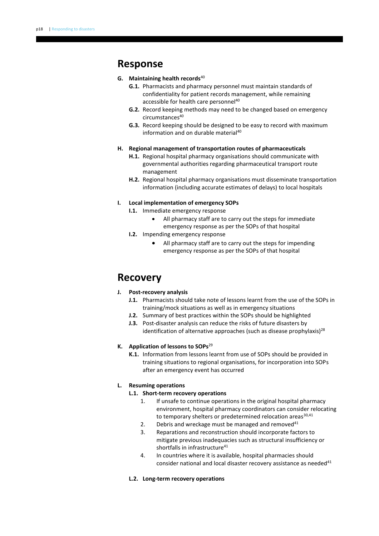### <span id="page-19-0"></span>**Response**

#### **G. Maintaining health records**<sup>40</sup>

- **G.1.** Pharmacists and pharmacy personnel must maintain standards of confidentiality for patient records management, while remaining accessible for health care personnel<sup>40</sup>
- **G.2.** Record keeping methods may need to be changed based on emergency circumstances<sup>40</sup>
- **G.3.** Record keeping should be designed to be easy to record with maximum information and on durable material<sup>40</sup>

#### **H. Regional management of transportation routes of pharmaceuticals**

- **H.1.** Regional hospital pharmacy organisations should communicate with governmental authorities regarding pharmaceutical transport route management
- **H.2.** Regional hospital pharmacy organisations must disseminate transportation information (including accurate estimates of delays) to local hospitals

#### **I. Local implementation of emergency SOPs**

- **I.1.** Immediate emergency response
	- All pharmacy staff are to carry out the steps for immediate emergency response as per the SOPs of that hospital
- **I.2.** Impending emergency response
	- All pharmacy staff are to carry out the steps for impending emergency response as per the SOPs of that hospital

### <span id="page-19-1"></span>**Recovery**

#### **J. Post-recovery analysis**

- **J.1.** Pharmacists should take note of lessons learnt from the use of the SOPs in training/mock situations as well as in emergency situations
- **J.2.** Summary of best practices within the SOPs should be highlighted
- **J.3.** Post-disaster analysis can reduce the risks of future disasters by identification of alternative approaches (such as disease prophylaxis) $^{28}$

### **K. Application of lessons to SOPs** 29

**K.1.** Information from lessons learnt from use of SOPs should be provided in training situations to regional organisations, for incorporation into SOPs after an emergency event has occurred

#### **L. Resuming operations**

#### **L.1. Short-term recovery operations**

- 1. If unsafe to continue operations in the original hospital pharmacy environment, hospital pharmacy coordinators can consider relocating to temporary shelters or predetermined relocation areas $30,41$
- 2. Debris and wreckage must be managed and removed $41$
- 3. Reparations and reconstruction should incorporate factors to mitigate previous inadequacies such as structural insufficiency or shortfalls in infrastructure<sup>41</sup>
- 4. In countries where it is available, hospital pharmacies should consider national and local disaster recovery assistance as needed $41$
- **L.2. Long-term recovery operations**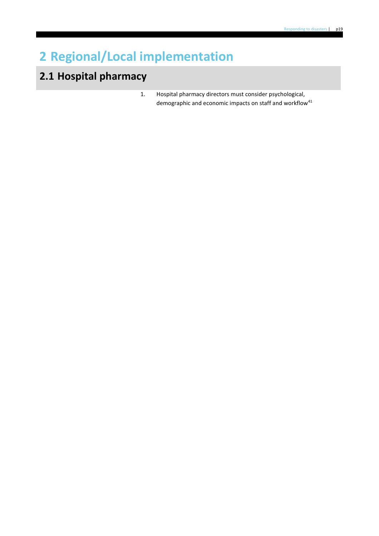## **2.1 Hospital pharmacy**

1. Hospital pharmacy directors must consider psychological, demographic and economic impacts on staff and workflow $^{41}$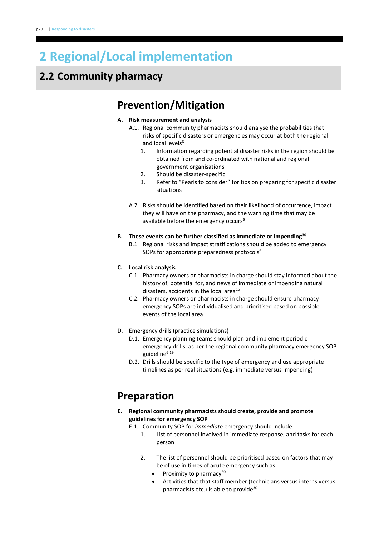## <span id="page-21-1"></span><span id="page-21-0"></span>**2.2 Community pharmacy**

## <span id="page-21-2"></span>**Prevention/Mitigation**

### **A. Risk measurement and analysis**

- A.1. Regional community pharmacists should analyse the probabilities that risks of specific disasters or emergencies may occur at both the regional and local levels<sup>6</sup>
	- 1. Information regarding potential disaster risks in the region should be obtained from and co-ordinated with national and regional government organisations
	- 2. Should be disaster-specific
	- 3. Refer to "Pearls to consider" for tips on preparing for specific disaster situations
- A.2. Risks should be identified based on their likelihood of occurrence, impact they will have on the pharmacy, and the warning time that may be available before the emergency occurs<sup>6</sup>

### **B. These events can be further classified as immediate or impending<sup>30</sup>**

B.1. Regional risks and impact stratifications should be added to emergency SOPs for appropriate preparedness protocols<sup>6</sup>

### **C. Local risk analysis**

- C.1. Pharmacy owners or pharmacists in charge should stay informed about the history of, potential for, and news of immediate or impending natural disasters, accidents in the local area<sup>16</sup>
- C.2. Pharmacy owners or pharmacists in charge should ensure pharmacy emergency SOPs are individualised and prioritised based on possible events of the local area
- D. Emergency drills (practice simulations)
	- D.1. Emergency planning teams should plan and implement periodic emergency drills, as per the regional community pharmacy emergency SOP guideline<sup>6,19</sup>
	- D.2. Drills should be specific to the type of emergency and use appropriate timelines as per real situations (e.g. immediate versus impending)

## <span id="page-21-3"></span>**Preparation**

- **E. Regional community pharmacists should create, provide and promote guidelines for emergency SOP** 
	- E.1. Community SOP for *immediate* emergency should include:
		- 1. List of personnel involved in immediate response, and tasks for each person
		- 2. The list of personnel should be prioritised based on factors that may be of use in times of acute emergency such as:
			- Proximity to pharmacy<sup>30</sup>
			- Activities that that staff member (technicians versus interns versus pharmacists etc.) is able to provide $30$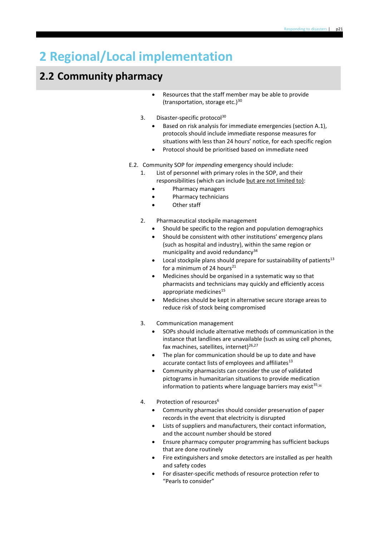### **2.2 Community pharmacy**

- Resources that the staff member may be able to provide (transportation, storage etc.)<sup>30</sup>
- 3. Disaster-specific protocol<sup>30</sup>
	- Based on risk analysis for immediate emergencies (section A.1), protocols should include immediate response measures for situations with less than 24 hours' notice, for each specific region
	- Protocol should be prioritised based on immediate need
- E.2. Community SOP for *impending* emergency should include:
	- 1. List of personnel with primary roles in the SOP, and their responsibilities (which can include but are not limited to):
		- Pharmacy managers
		- Pharmacy technicians
		- Other staff
	- 2. Pharmaceutical stockpile management
		- Should be specific to the region and population demographics
		- Should be consistent with other institutions' emergency plans (such as hospital and industry), within the same region or municipality and avoid redundancy $34$
		- Local stockpile plans should prepare for sustainability of patients $13$ for a minimum of 24 hours $^{21}$
		- Medicines should be organised in a systematic way so that pharmacists and technicians may quickly and efficiently access appropriate medicines<sup>15</sup>
		- Medicines should be kept in alternative secure storage areas to reduce risk of stock being compromised
	- 3. Communication management
		- SOPs should include alternative methods of communication in the instance that landlines are unavailable (such as using cell phones, fax machines, satellites, internet) $26,27$
		- The plan for communication should be up to date and have accurate contact lists of employees and affiliates<sup>13</sup>
		- Community pharmacists can consider the use of validated pictograms in humanitarian situations to provide medication information to patients where language barriers may exist $35,36$
	- 4. Protection of resources<sup>6</sup>
		- Community pharmacies should consider preservation of paper records in the event that electricity is disrupted
		- Lists of suppliers and manufacturers, their contact information, and the account number should be stored
		- Ensure pharmacy computer programming has sufficient backups that are done routinely
		- Fire extinguishers and smoke detectors are installed as per health and safety codes
		- For disaster-specific methods of resource protection refer to "Pearls to consider"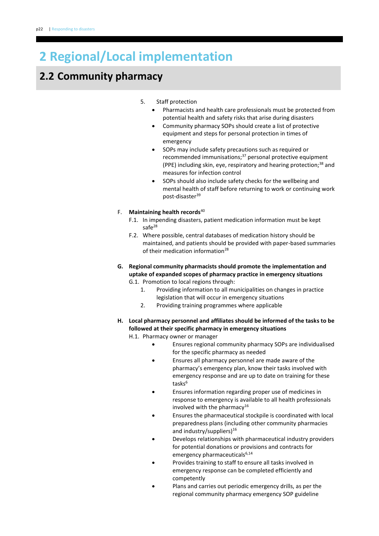## **2.2 Community pharmacy**

- 5. Staff protection
	- Pharmacists and health care professionals must be protected from potential health and safety risks that arise during disasters
	- Community pharmacy SOPs should create a list of protective equipment and steps for personal protection in times of emergency
	- SOPs may include safety precautions such as required or recommended immunisations;<sup>37</sup> personal protective equipment (PPE) including skin, eye, respiratory and hearing protection;<sup>38</sup> and measures for infection control
	- SOPs should also include safety checks for the wellbeing and mental health of staff before returning to work or continuing work post-disaster<sup>39</sup>

### F. **Maintaining health records**<sup>40</sup>

- F.1. In impending disasters, patient medication information must be kept safe<sup>28</sup>
- F.2. Where possible, central databases of medication history should be maintained, and patients should be provided with paper-based summaries of their medication information<sup>28</sup>
- **G. Regional community pharmacists should promote the implementation and uptake of expanded scopes of pharmacy practice in emergency situations**
	- G.1. Promotion to local regions through:
		- 1. Providing information to all municipalities on changes in practice legislation that will occur in emergency situations
		- 2. Providing training programmes where applicable
- **H. Local pharmacy personnel and affiliates should be informed of the tasks to be followed at their specific pharmacy in emergency situations**
	- H.1. Pharmacy owner or manager
		- Ensures regional community pharmacy SOPs are individualised for the specific pharmacy as needed
		- Ensures all pharmacy personnel are made aware of the pharmacy's emergency plan, know their tasks involved with emergency response and are up to date on training for these tasks<sup>6</sup>
		- Ensures information regarding proper use of medicines in response to emergency is available to all health professionals involved with the pharmacy $^{16}$
		- Ensures the pharmaceutical stockpile is coordinated with local preparedness plans (including other community pharmacies and industry/suppliers)<sup>16</sup>
		- Develops relationships with pharmaceutical industry providers for potential donations or provisions and contracts for emergency pharmaceuticals $^{6,14}$
		- Provides training to staff to ensure all tasks involved in emergency response can be completed efficiently and competently
		- Plans and carries out periodic emergency drills, as per the regional community pharmacy emergency SOP guideline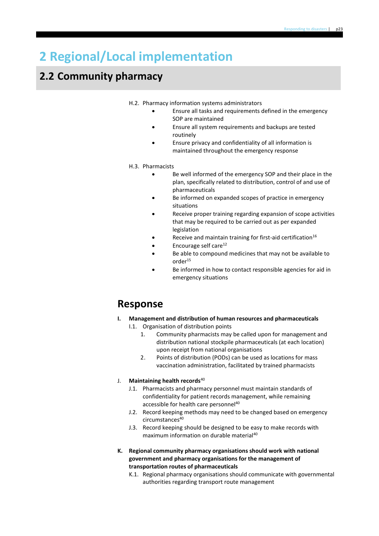## **2.2 Community pharmacy**

- H.2. Pharmacy information systems administrators
	- Ensure all tasks and requirements defined in the emergency SOP are maintained
	- Ensure all system requirements and backups are tested routinely
	- Ensure privacy and confidentiality of all information is maintained throughout the emergency response

#### H.3. Pharmacists

- Be well informed of the emergency SOP and their place in the plan, specifically related to distribution, control of and use of pharmaceuticals
- Be informed on expanded scopes of practice in emergency situations
- Receive proper training regarding expansion of scope activities that may be required to be carried out as per expanded legislation
- Receive and maintain training for first-aid certification $16$
- Encourage self care<sup>12</sup>
- Be able to compound medicines that may not be available to order<sup>15</sup>
- Be informed in how to contact responsible agencies for aid in emergency situations

### <span id="page-24-0"></span>**Response**

- **I. Management and distribution of human resources and pharmaceuticals**
	- I.1. Organisation of distribution points
		- 1. Community pharmacists may be called upon for management and distribution national stockpile pharmaceuticals (at each location) upon receipt from national organisations
		- 2. Points of distribution (PODs) can be used as locations for mass vaccination administration, facilitated by trained pharmacists

### J. **Maintaining health records**<sup>40</sup>

- J.1. Pharmacists and pharmacy personnel must maintain standards of confidentiality for patient records management, while remaining accessible for health care personnel<sup>40</sup>
- J.2. Record keeping methods may need to be changed based on emergency circumstances<sup>40</sup>
- J.3. Record keeping should be designed to be easy to make records with maximum information on durable material<sup>40</sup>
- **K. Regional community pharmacy organisations should work with national government and pharmacy organisations for the management of transportation routes of pharmaceuticals**
	- K.1. Regional pharmacy organisations should communicate with governmental authorities regarding transport route management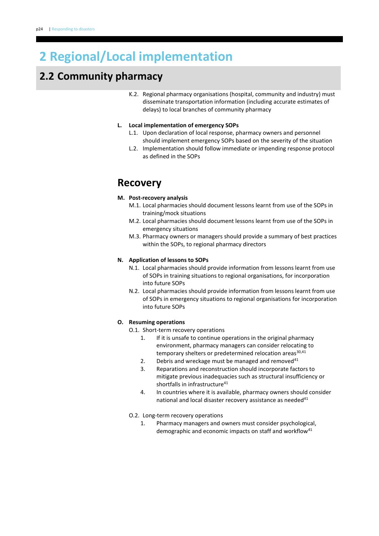## **2.2 Community pharmacy**

K.2. Regional pharmacy organisations (hospital, community and industry) must disseminate transportation information (including accurate estimates of delays) to local branches of community pharmacy

### **L. Local implementation of emergency SOPs**

- L.1. Upon declaration of local response, pharmacy owners and personnel should implement emergency SOPs based on the severity of the situation
- L.2. Implementation should follow immediate or impending response protocol as defined in the SOPs

## <span id="page-25-0"></span>**Recovery**

### **M. Post-recovery analysis**

- M.1. Local pharmacies should document lessons learnt from use of the SOPs in training/mock situations
- M.2. Local pharmacies should document lessons learnt from use of the SOPs in emergency situations
- M.3. Pharmacy owners or managers should provide a summary of best practices within the SOPs, to regional pharmacy directors

### **N. Application of lessons to SOPs**

- N.1. Local pharmacies should provide information from lessons learnt from use of SOPs in training situations to regional organisations, for incorporation into future SOPs
- N.2. Local pharmacies should provide information from lessons learnt from use of SOPs in emergency situations to regional organisations for incorporation into future SOPs

### **O. Resuming operations**

- O.1. Short-term recovery operations
	- 1. If it is unsafe to continue operations in the original pharmacy environment, pharmacy managers can consider relocating to temporary shelters or predetermined relocation areas $^{30,41}$
	- 2. Debris and wreckage must be managed and removed $41$
	- 3. Reparations and reconstruction should incorporate factors to mitigate previous inadequacies such as structural insufficiency or shortfalls in infrastructure<sup>41</sup>
	- 4. In countries where it is available, pharmacy owners should consider national and local disaster recovery assistance as needed<sup>41</sup>
- O.2. Long-term recovery operations
	- 1. Pharmacy managers and owners must consider psychological, demographic and economic impacts on staff and workflow<sup>41</sup>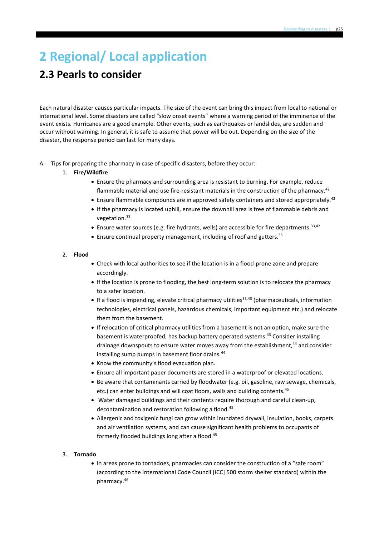# <span id="page-26-0"></span>**2 Regional/ Local application**

## <span id="page-26-1"></span>**2.3 Pearls to consider**

Each natural disaster causes particular impacts. The size of the event can bring this impact from local to national or international level. Some disasters are called "slow onset events" where a warning period of the imminence of the event exists. Hurricanes are a good example. Other events, such as earthquakes or landslides, are sudden and occur without warning. In general, it is safe to assume that power will be out. Depending on the size of the disaster, the response period can last for many days.

A. Tips for preparing the pharmacy in case of specific disasters, before they occur:

### 1. **Fire/Wildfire**

- Ensure the pharmacy and surrounding area is resistant to burning. For example, reduce flammable material and use fire-resistant materials in the construction of the pharmacy.<sup>42</sup>
- Ensure flammable compounds are in approved safety containers and stored appropriately.<sup>42</sup>
- If the pharmacy is located uphill, ensure the downhill area is free of flammable debris and vegetation.<sup>33</sup>
- Ensure water sources (e.g. fire hydrants, wells) are accessible for fire departments.<sup>33,42</sup>
- Ensure continual property management, including of roof and gutters.<sup>33</sup>

#### 2. **Flood**

- Check with local authorities to see if the location is in a flood-prone zone and prepare accordingly.
- If the location is prone to flooding, the best long-term solution is to relocate the pharmacy to a safer location.
- If a flood is impending, elevate critical pharmacy utilities<sup>33,43</sup> (pharmaceuticals, information technologies, electrical panels, hazardous chemicals, important equipment etc.) and relocate them from the basement.
- If relocation of critical pharmacy utilities from a basement is not an option, make sure the basement is waterproofed, has backup battery operated systems. <sup>43</sup> Consider installing drainage downspouts to ensure water moves away from the establishment,<sup>44</sup> and consider installing sump pumps in basement floor drains.<sup>44</sup>
- Know the community's flood evacuation plan.
- Ensure all important paper documents are stored in a waterproof or elevated locations.
- Be aware that contaminants carried by floodwater (e.g. oil, gasoline, raw sewage, chemicals, etc.) can enter buildings and will coat floors, walls and building contents.<sup>45</sup>
- Water damaged buildings and their contents require thorough and careful clean-up, decontamination and restoration following a flood.<sup>45</sup>
- Allergenic and toxigenic fungi can grow within inundated drywall, insulation, books, carpets and air ventilation systems, and can cause significant health problems to occupants of formerly flooded buildings long after a flood.<sup>45</sup>

### 3. **Tornado**

• In areas prone to tornadoes, pharmacies can consider the construction of a "safe room" (according to the International Code Council [ICC] 500 storm shelter standard) within the pharmacy.46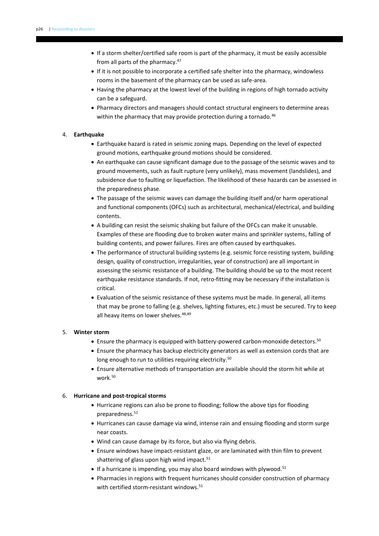- If a storm shelter/certified safe room is part of the pharmacy, it must be easily accessible from all parts of the pharmacy.<sup>47</sup>
- If it is not possible to incorporate a certified safe shelter into the pharmacy, windowless rooms in the basement of the pharmacy can be used as safe-area.
- Having the pharmacy at the lowest level of the building in regions of high tornado activity can be a safeguard.
- Pharmacy directors and managers should contact structural engineers to determine areas within the pharmacy that may provide protection during a tornado.<sup>46</sup>

### 4. **Earthquake**

- Earthquake hazard is rated in seismic zoning maps. Depending on the level of expected ground motions, earthquake ground motions should be considered.
- An earthquake can cause significant damage due to the passage of the seismic waves and to ground movements, such as fault rupture (very unlikely), mass movement (landslides), and subsidence due to faulting or liquefaction. The likelihood of these hazards can be assessed in the preparedness phase.
- The passage of the seismic waves can damage the building itself and/or harm operational and functional components (OFCs) such as architectural, mechanical/electrical, and building contents.
- A building can resist the seismic shaking but failure of the OFCs can make it unusable. Examples of these are flooding due to broken water mains and sprinkler systems, falling of building contents, and power failures. Fires are often caused by earthquakes.
- The performance of structural building systems (e.g. seismic force resisting system, building design, quality of construction, irregularities, year of construction) are all important in assessing the seismic resistance of a building. The building should be up to the most recent earthquake resistance standards. If not, retro-fitting may be necessary if the installation is critical.
- Evaluation of the seismic resistance of these systems must be made. In general, all items that may be prone to falling (e.g. shelves, lighting fixtures, etc.) must be secured. Try to keep all heavy items on lower shelves. 48,49

### 5. **Winter storm**

- Ensure the pharmacy is equipped with battery-powered carbon-monoxide detectors.<sup>50</sup>
- Ensure the pharmacy has backup electricity generators as well as extension cords that are long enough to run to utilities requiring electricity.<sup>50</sup>
- Ensure alternative methods of transportation are available should the storm hit while at work.<sup>50</sup>

### 6. **Hurricane and post-tropical storms**

- Hurricane regions can also be prone to flooding; follow the above tips for flooding preparedness.<sup>51</sup>
- Hurricanes can cause damage via wind, intense rain and ensuing flooding and storm surge near coasts.
- Wind can cause damage by its force, but also via flying debris.
- Ensure windows have impact-resistant glaze, or are laminated with thin film to prevent shattering of glass upon high wind impact.<sup>51</sup>
- $\bullet$  If a hurricane is impending, you may also board windows with plywood.<sup>51</sup>
- Pharmacies in regions with frequent hurricanes should consider construction of pharmacy with certified storm-resistant windows.<sup>51</sup>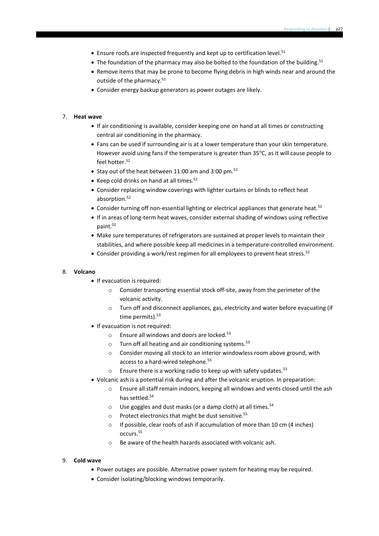- Ensure roofs are inspected frequently and kept up to certification level.<sup>51</sup>
- The foundation of the pharmacy may also be bolted to the foundation of the building.<sup>51</sup>
- Remove items that may be prone to become flying debris in high winds near and around the outside of the pharmacy.<sup>51</sup>
- Consider energy backup generators as power outages are likely.

#### 7. **Heat wave**

- If air conditioning is available, consider keeping one on hand at all times or constructing central air conditioning in the pharmacy.
- Fans can be used if surrounding air is at a lower temperature than your skin temperature. However avoid using fans if the temperature is greater than  $35^{\circ}$ C, as it will cause people to feel hotter.<sup>52</sup>
- Stay out of the heat between 11:00 am and 3:00 pm.<sup>52</sup>
- Keep cold drinks on hand at all times.<sup>52</sup>
- Consider replacing window coverings with lighter curtains or blinds to reflect heat absorption.<sup>52</sup>
- Consider turning off non-essential lighting or electrical appliances that generate heat.<sup>52</sup>
- If in areas of long-term heat waves, consider external shading of windows using reflective paint.<sup>52</sup>
- Make sure temperatures of refrigerators are sustained at proper levels to maintain their stabilities, and where possible keep all medicines in a temperature-controlled environment.
- Consider providing a work/rest regimen for all employees to prevent heat stress.<sup>52</sup>

#### 8. **Volcano**

- If evacuation is required:
	- o Consider transporting essential stock off-site, away from the perimeter of the volcanic activity.
	- o Turn off and disconnect appliances, gas, electricity and water before evacuating (if time permits).<sup>53</sup>
- If evacuation is not required:
	- $\circ$  Ensure all windows and doors are locked.<sup>53</sup>
	- $\circ$  Turn off all heating and air conditioning systems.<sup>53</sup>
	- o Consider moving all stock to an interior windowless room above ground, with access to a hard-wired telephone.<sup>53</sup>
	- Ensure there is a working radio to keep up with safety updates. $53$
- Volcanic ash is a potential risk during and after the volcanic eruption. In preparation:
	- o Ensure all staff remain indoors, keeping all windows and vents closed until the ash has settled.<sup>54</sup>
	- $\circ$  Use goggles and dust masks (or a damp cloth) at all times.<sup>54</sup>
	- o Protect electronics that might be dust sensitive.<sup>55</sup>
	- o If possible, clear roofs of ash if accumulation of more than 10 cm (4 inches) occurs.<sup>55</sup>
	- o Be aware of the health hazards associated with volcanic ash.

#### 9. **Cold wave**

- Power outages are possible. Alternative power system for heating may be required.
- Consider isolating/blocking windows temporarily.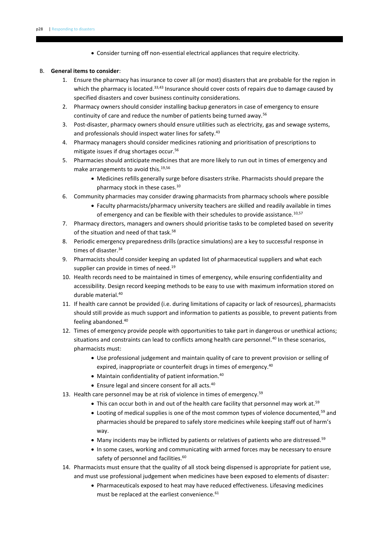• Consider turning off non-essential electrical appliances that require electricity.

### B. **General items to consider**:

- 1. Ensure the pharmacy has insurance to cover all (or most) disasters that are probable for the region in which the pharmacy is located.<sup>33,43</sup> Insurance should cover costs of repairs due to damage caused by specified disasters and cover business continuity considerations.
- 2. Pharmacy owners should consider installing backup generators in case of emergency to ensure continuity of care and reduce the number of patients being turned away.<sup>56</sup>
- 3. Post-disaster, pharmacy owners should ensure utilities such as electricity, gas and sewage systems, and professionals should inspect water lines for safety.<sup>43</sup>
- 4. Pharmacy managers should consider medicines rationing and prioritisation of prescriptions to mitigate issues if drug shortages occur.<sup>56</sup>
- 5. Pharmacies should anticipate medicines that are more likely to run out in times of emergency and make arrangements to avoid this.19,56
	- Medicines refills generally surge before disasters strike. Pharmacists should prepare the pharmacy stock in these cases.<sup>10</sup>
- 6. Community pharmacies may consider drawing pharmacists from pharmacy schools where possible
	- Faculty pharmacists/pharmacy university teachers are skilled and readily available in times of emergency and can be flexible with their schedules to provide assistance.<sup>10,57</sup>
- 7. Pharmacy directors, managers and owners should prioritise tasks to be completed based on severity of the situation and need of that task.<sup>58</sup>
- 8. Periodic emergency preparedness drills (practice simulations) are a key to successful response in times of disaster.<sup>34</sup>
- 9. Pharmacists should consider keeping an updated list of pharmaceutical suppliers and what each supplier can provide in times of need.<sup>19</sup>
- 10. Health records need to be maintained in times of emergency, while ensuring confidentiality and accessibility. Design record keeping methods to be easy to use with maximum information stored on durable material.<sup>40</sup>
- 11. If health care cannot be provided (i.e. during limitations of capacity or lack of resources), pharmacists should still provide as much support and information to patients as possible, to prevent patients from feeling abandoned.<sup>40</sup>
- 12. Times of emergency provide people with opportunities to take part in dangerous or unethical actions; situations and constraints can lead to conflicts among health care personnel.<sup>40</sup> In these scenarios, pharmacists must:
	- Use professional judgement and maintain quality of care to prevent provision or selling of expired, inappropriate or counterfeit drugs in times of emergency.<sup>40</sup>
	- Maintain confidentiality of patient information.<sup>40</sup>
	- Ensure legal and sincere consent for all acts.<sup>40</sup>
- 13. Health care personnel may be at risk of violence in times of emergency.<sup>59</sup>
	- This can occur both in and out of the health care facility that personnel may work at.<sup>59</sup>
	- Looting of medical supplies is one of the most common types of violence documented,<sup>59</sup> and pharmacies should be prepared to safely store medicines while keeping staff out of harm's way.
	- Many incidents may be inflicted by patients or relatives of patients who are distressed.<sup>59</sup>
	- In some cases, working and communicating with armed forces may be necessary to ensure safety of personnel and facilities.<sup>60</sup>
- 14. Pharmacists must ensure that the quality of all stock being dispensed is appropriate for patient use, and must use professional judgement when medicines have been exposed to elements of disaster:
	- Pharmaceuticals exposed to heat may have reduced effectiveness. Lifesaving medicines must be replaced at the earliest convenience.<sup>61</sup>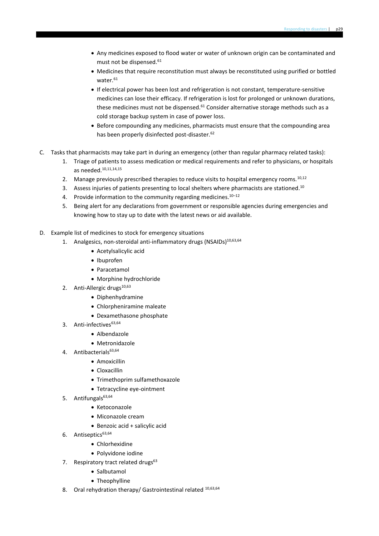- Any medicines exposed to flood water or water of unknown origin can be contaminated and must not be dispensed.<sup>61</sup>
- Medicines that require reconstitution must always be reconstituted using purified or bottled water.<sup>61</sup>
- If electrical power has been lost and refrigeration is not constant, temperature-sensitive medicines can lose their efficacy. If refrigeration is lost for prolonged or unknown durations, these medicines must not be dispensed. $61$  Consider alternative storage methods such as a cold storage backup system in case of power loss.
- Before compounding any medicines, pharmacists must ensure that the compounding area has been properly disinfected post-disaster.<sup>62</sup>
- C. Tasks that pharmacists may take part in during an emergency (other than regular pharmacy related tasks):
	- 1. Triage of patients to assess medication or medical requirements and refer to physicians, or hospitals as needed.10,11,14,15
	- 2. Manage previously prescribed therapies to reduce visits to hospital emergency rooms.<sup>10,12</sup>
	- 3. Assess injuries of patients presenting to local shelters where pharmacists are stationed.<sup>10</sup>
	- 4. Provide information to the community regarding medicines. $^{10-12}$
	- 5. Being alert for any declarations from government or responsible agencies during emergencies and knowing how to stay up to date with the latest news or aid available.
- D. Example list of medicines to stock for emergency situations
	- 1. Analgesics, non-steroidal anti-inflammatory drugs (NSAIDs)<sup>10,63,64</sup>
		- Acetylsalicylic acid
		- Ibuprofen
		- Paracetamol
		- Morphine hydrochloride
	- 2. Anti-Allergic drugs $10,63$ 
		- Diphenhydramine
		- Chlorpheniramine maleate
		- Dexamethasone phosphate
	- 3. Anti-infectives<sup>63,64</sup>
		- Albendazole
		- Metronidazole
	- 4. Antibacterials<sup>63,64</sup>
		- Amoxicillin
		- Cloxacillin
		- Trimethoprim sulfamethoxazole
		- Tetracycline eye-ointment
	- 5. Antifungals<sup>63,64</sup>
		- Ketoconazole
		- Miconazole cream
		- Benzoic acid + salicylic acid
	- 6. Antiseptics<sup>63,64</sup>
		- Chlorhexidine
		- Polyvidone iodine
	- 7. Respiratory tract related drugs<sup>63</sup>
		- Salbutamol
		- Theophylline
	- 8. Oral rehydration therapy/ Gastrointestinal related 10,63,64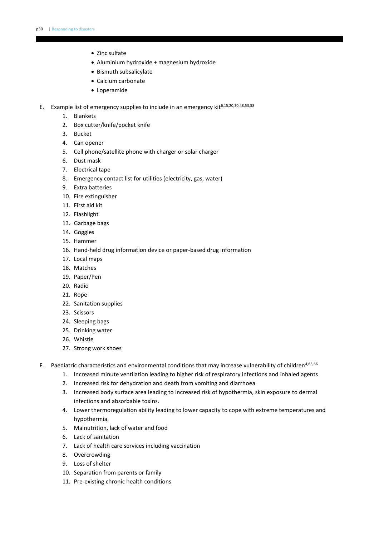- Zinc sulfate
- Aluminium hydroxide + magnesium hydroxide
- Bismuth subsalicylate
- Calcium carbonate
- Loperamide
- E. Example list of emergency supplies to include in an emergency kit<sup>6,15,20,30,48,53,58</sup>
	- 1. Blankets
	- 2. Box cutter/knife/pocket knife
	- 3. Bucket
	- 4. Can opener
	- 5. Cell phone/satellite phone with charger or solar charger
	- 6. Dust mask
	- 7. Electrical tape
	- 8. Emergency contact list for utilities (electricity, gas, water)
	- 9. Extra batteries
	- 10. Fire extinguisher
	- 11. First aid kit
	- 12. Flashlight
	- 13. Garbage bags
	- 14. Goggles
	- 15. Hammer
	- 16. Hand-held drug information device or paper-based drug information
	- 17. Local maps
	- 18. Matches
	- 19. Paper/Pen
	- 20. Radio
	- 21. Rope
	- 22. Sanitation supplies
	- 23. Scissors
	- 24. Sleeping bags
	- 25. Drinking water
	- 26. Whistle
	- 27. Strong work shoes
- F. Paediatric characteristics and environmental conditions that may increase vulnerability of children<sup>4,65,66</sup>
	- 1. Increased minute ventilation leading to higher risk of respiratory infections and inhaled agents
	- 2. Increased risk for dehydration and death from vomiting and diarrhoea
	- 3. Increased body surface area leading to increased risk of hypothermia, skin exposure to dermal infections and absorbable toxins.
	- 4. Lower thermoregulation ability leading to lower capacity to cope with extreme temperatures and hypothermia.
	- 5. Malnutrition, lack of water and food
	- 6. Lack of sanitation
	- 7. Lack of health care services including vaccination
	- 8. Overcrowding
	- 9. Loss of shelter
	- 10. Separation from parents or family
	- 11. Pre-existing chronic health conditions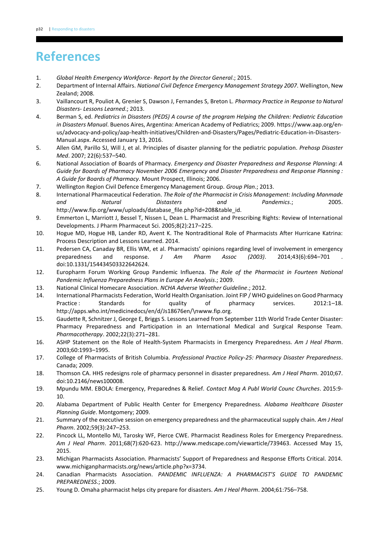## <span id="page-33-0"></span>**References**

- 1. *Global Health Emergency Workforce- Report by the Director General*.; 2015.
- 2. Department of Internal Affairs. *National Civil Defence Emergency Management Strategy 2007*. Wellington, New Zealand; 2008.
- 3. Vaillancourt R, Pouliot A, Grenier S, Dawson J, Fernandes S, Breton L. *Pharmacy Practice in Response to Natural Disasters- Lessons Learned*.; 2013.
- 4. Berman S, ed. *Pediatrics in Disasters (PEDS) A course of the program Helping the Children: Pediatric Education in Disasters Manual*. Buenos Aires, Argentina: American Academy of Pediatrics; 2009. https://www.aap.org/enus/advocacy-and-policy/aap-health-initiatives/Children-and-Disasters/Pages/Pediatric-Education-in-Disasters-Manual.aspx. Accessed January 13, 2016.
- 5. Allen GM, Parillo SJ, Will J, et al. Principles of disaster planning for the pediatric population. *Prehosp Disaster Med*. 2007; 22(6):537–540.
- 6. National Association of Boards of Pharmacy. *Emergency and Disaster Preparedness and Response Planning: A Guide for Boards of Pharmacy November 2006 Emergency and Disaster Preparedness and Response Planning : A Guide for Boards of Pharmacy*. Mount Prospect, Illinois; 2006.
- 7. Wellington Region Civil Defence Emergency Management Group. *Group Plan*.; 2013.
- 8. International Pharmaceutical Federation. *The Role of the Pharmacist in Crisis Management: Including Manmade and Natural Distasters and Pandemics*.; 2005. http://www.fip.org/www/uploads/database\_file.php?id=208&table\_id.
- 9. Emmerton L, Marriott J, Bessel T, Nissen L, Dean L. Pharmacist and Prescribing Rights: Review of International Developments. J Pharm Pharmaceut Sci. 2005;8(2):217–225.
- 10. Hogue MD, Hogue HB, Lander RD, Avent K. The Nontraditional Role of Pharmacists After Hurricane Katrina: Process Description and Lessons Learned. 2014.
- 11. Pedersen CA, Canaday BR, Ellis WM, et al. Pharmacists' opinions regarding level of involvement in emergency preparedness and response. *J Am Pharm Assoc (2003)*. 2014;43(6):694–701 . doi:10.1331/154434503322642624.
- 12. Europharm Forum Working Group Pandemic Influenza. *The Role of the Pharmacist in Fourteen National Pandemic Influenza Preparedness Plans in Europe An Analysis*.; 2009.
- 13. National Clinical Homecare Association. *NCHA Adverse Weather Guideline*.; 2012.
- 14. International Pharmacists Federation, World Health Organisation. Joint FIP / WHO guidelines on Good Pharmacy Practice : Standards for quality of pharmacy services. 2012:1–18. http://apps.who.int/medicinedocs/en/d/Js18676en/\nwww.fip.org.
- 15. Gaudette R, Schnitzer J, George E, Briggs S. Lessons Learned from September 11th World Trade Center Disaster: Pharmacy Preparedness and Participation in an International Medical and Surgical Response Team. *Pharmacotherapy*. 2002;22(3):271–281.
- 16. ASHP Statement on the Role of Health-System Pharmacists in Emergency Preparedness. *Am J Heal Pharm*. 2003;60:1993–1995.
- 17. College of Pharmacists of British Columbia. *Professional Practice Policy-25: Pharmacy Disaster Preparedness*. Canada; 2009.
- 18. Thomson CA. HHS redesigns role of pharmacy personnel in disaster preparedness. *Am J Heal Pharm*. 2010;67. doi:10.2146/news100008.
- 19. Mpundu MM. EBOLA: Emergency, Preparednes & Relief. *Contact Mag A Publ World Counc Churches*. 2015:9- 10.
- 20. Alabama Department of Public Health Center for Emergency Preparedness. *Alabama Healthcare Disaster Planning Guide*. Montgomery; 2009.
- 21. Summary of the executive session on emergency preparedness and the pharmaceutical supply chain. *Am J Heal Pharm*. 2002;59(3):247–253.
- 22. Pincock LL, Montello MJ, Tarosky WF, Pierce CWE. Pharmacist Readiness Roles for Emergency Preparedness. *Am J Heal Pharm*. 2011;68(7):620-623. http://www.medscape.com/viewarticle/739463. Accessed May 15, 2015.
- 23. Michigan Pharmacists Association. Pharmacists' Support of Preparedness and Response Efforts Critical. 2014. www.michiganpharmacists.org/news/article.php?x=3734.
- 24. Canadian Pharmacists Association. *PANDEMIC INFLUENZA: A PHARMACIST'S GUIDE TO PANDEMIC PREPAREDNESS*.; 2009.
- 25. Young D. Omaha pharmacist helps city prepare for disasters. *Am J Heal Pharm*. 2004;61:756–758.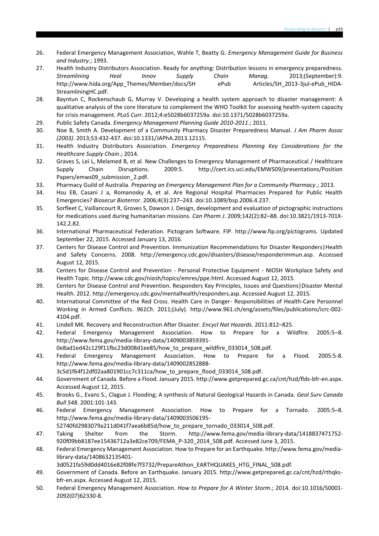- 26. Federal Emergency Management Association, Wahle T, Beatty G. *Emergency Management Guide for Business and Industry*.; 1993.
- 27. Health Industry Distributors Association. Ready for anything: Distribution lessons in emergency preparedness. *Streamlining Heal Innov Supply Chain Manag*. 2013;(September):9. http://www.hida.org/App\_Themes/Member/docs/SH ePub Articles/SH\_2013-3jul-ePub\_HIDA-StreamliningHC.pdf.
- 28. Bayntun C, Rockenschaub G, Murray V. Developing a health system approach to disaster management: A qualitative analysis of the core literature to complement the WHO Toolkit for assessing health-system capacity for crisis management. *PLoS Curr*. 2012;4:e5028b6037259a. doi:10.1371/5028b6037259a.
- 29. Public Safety Canada. *Emergency Management Planning Guide 2010-2011*.; 2011.
- 30. Noe B, Smith A. Development of a Community Pharmacy Disaster Preparedness Manual. *J Am Pharm Assoc (2003)*. 2013;53:432-437. doi:10.1331/JAPhA.2013.12115.
- 31. Health Industry Distributors Association. *Emergency Preparedness Planning Key Considerations for the Healthcare Supply Chain*.; 2014.
- 32. Graves S, Lei L, Melamed B, et al. New Challenges to Emergency Management of Pharmaceutical / Healthcare Supply Chain Disruptions. 2009:5. http://cert.ics.uci.edu/EMWS09/presentations/Position Papers/emws09\_submission\_2.pdf.
- 33. Pharmacy Guild of Australia. *Preparing an Emergency Management Plan for a Community Pharmacy*.; 2013.
- 34. Hsu EB, Casani J a, Romanosky A, et al. Are Regional Hospital Pharmacies Prepared for Public Health Emergencies? *Biosecur Bioterror*. 2006;4(3):237–243. doi:10.1089/bsp.2006.4.237.
- 35. Sorfleet C, Vaillancourt R, Groves S, Dawson J. Design, development and evaluation of pictographic instructions for medications used during humanitarian missions. *Can Pharm J*. 2009;142(2):82–88. doi:10.3821/1913-701X-142.2.82.
- 36. International Pharmaceutical Federation. Pictogram Software. FIP. http://www.fip.org/pictograms. Updated September 22, 2015. Accessed January 13, 2016.
- 37. Centers for Disease Control and Prevention. Immunization Recommendations for Disaster Responders|Health and Safety Concerns. 2008. http://emergency.cdc.gov/disasters/disease/responderimmun.asp. Accessed August 12, 2015.
- 38. Centers for Disease Control and Prevention Personal Protective Equipment NIOSH Workplace Safety and Health Topic. http://www.cdc.gov/niosh/topics/emres/ppe.html. Accessed August 12, 2015.
- 39. Centers for Disease Control and Prevention. Responders Key Principles, Issues and Questions|Disaster Mental Health. 2012. http://emergency.cdc.gov/mentalhealth/responders.asp. Accessed August 12, 2015.
- 40. International Committee of the Red Cross. Health Care in Danger- Responsibilities of Health-Care Personnel Working in Armed Conflicts. *961Ch*. 2011;(July). http://www.961.ch/eng/assets/files/publications/icrc-002- 4104.pdf.
- 41. Lindell MK. Recovery and Reconstruction After Disaster. *Encycl Nat Hazards*. 2011:812–825.
- 42. Federal Emergency Management Association. How to Prepare for a Wildfire. 2005:5–8. http://www.fema.gov/media-library-data/1409003859391-
	- 0e8ad1ed42c129f11fbc23d008d1ee85/how\_to\_prepare\_wildfire\_033014\_508.pdf.
- 43. Federal Emergency Management Association. How to Prepare for a Flood. 2005:5-8. http://www.fema.gov/media-library-data/1409002852888- 3c5d1f64f12df02aa801901cc7c311ca/how\_to\_prepare\_flood\_033014\_508.pdf.
- 44. Government of Canada. Before a Flood. January 2015. http://www.getprepared.gc.ca/cnt/hzd/flds-bfr-en.aspx. Accessed August 12, 2015.
- 45. Brooks G., Evans S., Clague J. Flooding; A synthesis of Natural Geological Hazards in Canada. *Geol Surv Canada Bull 548*. 2001:101-143.
- 46. Federal Emergency Management Association. How to Prepare for a Tornado. 2005:5–8. http://www.fema.gov/media-library-data/1409003506195-
- 52740fd2983079a211d041f7aea6b85d/how\_to\_prepare\_tornado\_033014\_508.pdf. 47. Taking Shelter from the Storm. http://www.fema.gov/media-library-data/1418837471752-
- 920f09bb8187ee15436712a3e82ce709/FEMA\_P-320\_2014\_508.pdf. Accessed June 3, 2015.
- 48. Federal Emergency Management Association. How to Prepare for an Earthquake. http://www.fema.gov/medialibrary-data/1408632135401-

3d0521fa59d0dd4016e82f08fe7f3732/PrepareAthon\_EARTHQUAKES\_HTG\_FINAL\_508.pdf.

- 49. Government of Canada. Before an Earthquake. January 2015. http://www.getprepared.gc.ca/cnt/hzd/rthqksbfr-en.aspx. Accessed August 12, 2015.
- 50. Federal Emergency Management Association. *How to Prepare for A Winter Storm*.; 2014. doi:10.1016/S0001- 2092(07)62330-8.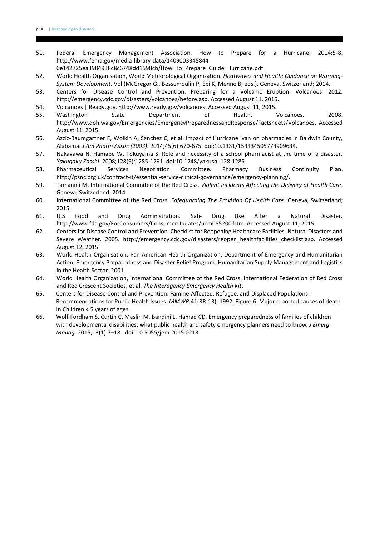- 51. Federal Emergency Management Association. How to Prepare for a Hurricane. 2014:5-8. http://www.fema.gov/media-library-data/1409003345844-
	- 0e142725ea3984938c8c6748dd1598cb/How To Prepare Guide Hurricane.pdf.
- 52. World Health Organisation, World Meteorological Organization. *Heatwaves and Health: Guidance on Warning-System Development*. Vol (McGregor G., Bessemoulin P, Ebi K, Menne B, eds.). Geneva, Switzerland; 2014.
- 53. Centers for Disease Control and Prevention. Preparing for a Volcanic Eruption: Volcanoes. 2012. http://emergency.cdc.gov/disasters/volcanoes/before.asp. Accessed August 11, 2015.
- 54. Volcanoes | Ready.gov. http://www.ready.gov/volcanoes. Accessed August 11, 2015.
- 55. Washington State Department of Health. Volcanoes. 2008. http://www.doh.wa.gov/Emergencies/EmergencyPreparednessandResponse/Factsheets/Volcanoes. Accessed August 11, 2015.
- 56. Azziz-Baumgartner E, Wolkin A, Sanchez C, et al. Impact of Hurricane Ivan on pharmacies in Baldwin County, Alabama. *J Am Pharm Assoc (2003)*. 2014;45(6):670-675. doi:10.1331/154434505774909634.
- 57. Nakagawa N, Hamabe W, Tokuyama S. Role and necessity of a school pharmacist at the time of a disaster. *Yakugaku Zasshi*. 2008;128(9):1285-1291. doi:10.1248/yakushi.128.1285.
- 58. Pharmaceutical Services Negotiation Committee. Pharmacy Business Continuity Plan. http://psnc.org.uk/contract-it/essential-service-clinical-governance/emergency-planning/.
- 59. Tamanini M, International Commitee of the Red Cross. *Violent Incidents Affecting the Delivery of Health Care*. Geneva, Switzerland; 2014.
- 60. International Committee of the Red Cross. *Safeguarding The Provision Of Health Care*. Geneva, Switzerland; 2015.
- 61. U.S Food and Drug Administration. Safe Drug Use After a Natural Disaster. http://www.fda.gov/ForConsumers/ConsumerUpdates/ucm085200.htm. Accessed August 11, 2015.
- 62. Centers for Disease Control and Prevention. Checklist for Reopening Healthcare Facilities|Natural Disasters and Severe Weather. 2005. http://emergency.cdc.gov/disasters/reopen\_healthfacilities\_checklist.asp. Accessed August 12, 2015.
- 63. World Health Organisation, Pan American Health Organization, Department of Emergency and Humanitarian Action, Emergency Preparedness and Disaster Relief Program. Humanitarian Supply Management and Logistics in the Health Sector. 2001.
- 64. World Health Organization, International Committee of the Red Cross, International Federation of Red Cross and Red Crescent Societies, et al. *The Interagency Emergency Health Kit*.
- 65. Centers for Disease Control and Prevention. Famine-Affected, Refugee, and Displaced Populations: Recommendations for Public Health Issues. *MMWR*;41(RR-13). 1992. Figure 6. Major reported causes of death In Children < 5 years of ages.
- 66. Wolf-Fordham S, Curtin C, Maslin M, Bandini L, Hamad CD. Emergency preparedness of families of children with developmental disabilities: what public health and safety emergency planners need to know. *J Emerg Manag*. 2015;13(1):7–18. doi: 10.5055/jem.2015.0213.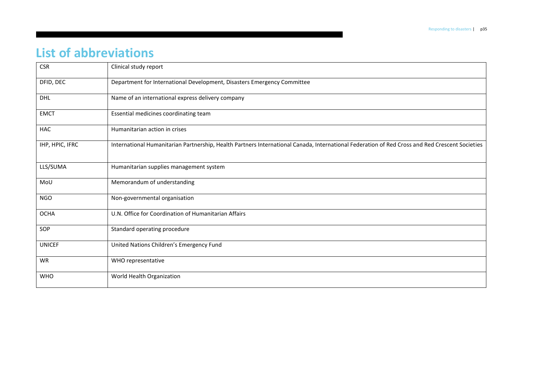## **List of abbreviations**

<span id="page-36-0"></span>

| <b>CSR</b>      | Clinical study report                                                                                                                          |
|-----------------|------------------------------------------------------------------------------------------------------------------------------------------------|
| DFID, DEC       | Department for International Development, Disasters Emergency Committee                                                                        |
| <b>DHL</b>      | Name of an international express delivery company                                                                                              |
| <b>EMCT</b>     | Essential medicines coordinating team                                                                                                          |
| HAC             | Humanitarian action in crises                                                                                                                  |
| IHP, HPIC, IFRC | International Humanitarian Partnership, Health Partners International Canada, International Federation of Red Cross and Red Crescent Societies |
| LLS/SUMA        | Humanitarian supplies management system                                                                                                        |
| MoU             | Memorandum of understanding                                                                                                                    |
| <b>NGO</b>      | Non-governmental organisation                                                                                                                  |
| <b>OCHA</b>     | U.N. Office for Coordination of Humanitarian Affairs                                                                                           |
| SOP             | Standard operating procedure                                                                                                                   |
| <b>UNICEF</b>   | United Nations Children's Emergency Fund                                                                                                       |
| <b>WR</b>       | WHO representative                                                                                                                             |
| <b>WHO</b>      | World Health Organization                                                                                                                      |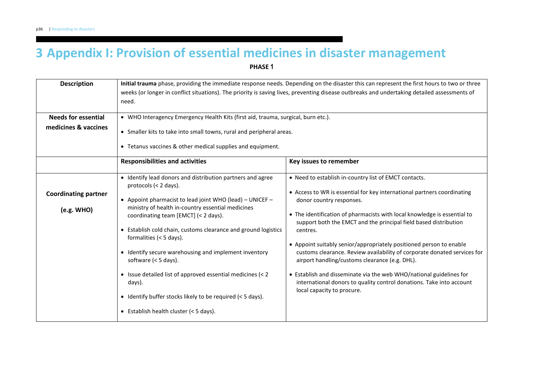## **3 Appendix I: Provision of essential medicines in disaster management PHASE 1**

<span id="page-37-0"></span>

| <b>Description</b>                                 | Initial trauma phase, providing the immediate response needs. Depending on the disaster this can represent the first hours to two or three<br>weeks (or longer in conflict situations). The priority is saving lives, preventing disease outbreaks and undertaking detailed assessments of<br>need.                                                                                                                                                                                                                                                                                                                              |                                                                                                                                                                                                                                                                                                                                                                                                                                                                                                                                                                                                                                                                                                            |
|----------------------------------------------------|----------------------------------------------------------------------------------------------------------------------------------------------------------------------------------------------------------------------------------------------------------------------------------------------------------------------------------------------------------------------------------------------------------------------------------------------------------------------------------------------------------------------------------------------------------------------------------------------------------------------------------|------------------------------------------------------------------------------------------------------------------------------------------------------------------------------------------------------------------------------------------------------------------------------------------------------------------------------------------------------------------------------------------------------------------------------------------------------------------------------------------------------------------------------------------------------------------------------------------------------------------------------------------------------------------------------------------------------------|
| <b>Needs for essential</b><br>medicines & vaccines | • WHO Interagency Emergency Health Kits (first aid, trauma, surgical, burn etc.).<br>• Smaller kits to take into small towns, rural and peripheral areas.<br>• Tetanus vaccines & other medical supplies and equipment.                                                                                                                                                                                                                                                                                                                                                                                                          |                                                                                                                                                                                                                                                                                                                                                                                                                                                                                                                                                                                                                                                                                                            |
|                                                    | <b>Responsibilities and activities</b>                                                                                                                                                                                                                                                                                                                                                                                                                                                                                                                                                                                           | Key issues to remember                                                                                                                                                                                                                                                                                                                                                                                                                                                                                                                                                                                                                                                                                     |
| <b>Coordinating partner</b><br>(e.g. WHO)          | • Identify lead donors and distribution partners and agree<br>protocols (< 2 days).<br>• Appoint pharmacist to lead joint WHO (lead) - UNICEF -<br>ministry of health in-country essential medicines<br>coordinating team [EMCT] (< 2 days).<br>• Establish cold chain, customs clearance and ground logistics<br>formalities (< 5 days).<br>• Identify secure warehousing and implement inventory<br>software (< 5 days).<br>• Issue detailed list of approved essential medicines (< 2<br>days).<br>• Identify buffer stocks likely to be required $(< 5 \text{ days})$ .<br>• Establish health cluster $(< 5 \text{ days})$ . | • Need to establish in-country list of EMCT contacts.<br>• Access to WR is essential for key international partners coordinating<br>donor country responses.<br>• The identification of pharmacists with local knowledge is essential to<br>support both the EMCT and the principal field based distribution<br>centres.<br>• Appoint suitably senior/appropriately positioned person to enable<br>customs clearance. Review availability of corporate donated services for<br>airport handling/customs clearance (e.g. DHL).<br>• Establish and disseminate via the web WHO/national guidelines for<br>international donors to quality control donations. Take into account<br>local capacity to procure. |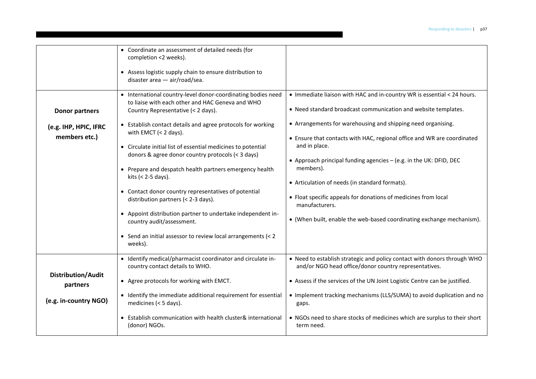|                                                                | • Coordinate an assessment of detailed needs (for<br>completion <2 weeks).<br>• Assess logistic supply chain to ensure distribution to                                                                                                                                                                                                                                                                   |                                                                                                                                                                                                                                                                                                                                                                                               |
|----------------------------------------------------------------|----------------------------------------------------------------------------------------------------------------------------------------------------------------------------------------------------------------------------------------------------------------------------------------------------------------------------------------------------------------------------------------------------------|-----------------------------------------------------------------------------------------------------------------------------------------------------------------------------------------------------------------------------------------------------------------------------------------------------------------------------------------------------------------------------------------------|
| Donor partners<br>(e.g. IHP, HPIC, IFRC<br>members etc.)       | disaster area - air/road/sea.<br>• International country-level donor-coordinating bodies need<br>to liaise with each other and HAC Geneva and WHO<br>Country Representative (< 2 days).<br>• Establish contact details and agree protocols for working<br>with EMCT $(< 2 \text{ days}).$<br>• Circulate initial list of essential medicines to potential                                                | • Immediate liaison with HAC and in-country WR is essential < 24 hours.<br>. Need standard broadcast communication and website templates.<br>• Arrangements for warehousing and shipping need organising.<br>• Ensure that contacts with HAC, regional office and WR are coordinated<br>and in place.                                                                                         |
|                                                                | donors & agree donor country protocols (< 3 days)<br>• Prepare and despatch health partners emergency health<br>kits $(2-5 days).$<br>• Contact donor country representatives of potential<br>distribution partners (< 2-3 days).<br>• Appoint distribution partner to undertake independent in-<br>country audit/assessment.<br>• Send an initial assessor to review local arrangements (< 2<br>weeks). | • Approach principal funding agencies - (e.g. in the UK: DFID, DEC<br>members).<br>• Articulation of needs (in standard formats).<br>• Float specific appeals for donations of medicines from local<br>manufacturers.<br>• (When built, enable the web-based coordinating exchange mechanism).                                                                                                |
| <b>Distribution/Audit</b><br>partners<br>(e.g. in-country NGO) | • Identify medical/pharmacist coordinator and circulate in-<br>country contact details to WHO.<br>• Agree protocols for working with EMCT.<br>• Identify the immediate additional requirement for essential<br>medicines (< 5 days).<br>• Establish communication with health cluster& international<br>(donor) NGOs.                                                                                    | . Need to establish strategic and policy contact with donors through WHO<br>and/or NGO head office/donor country representatives.<br>• Assess if the services of the UN Joint Logistic Centre can be justified.<br>• Implement tracking mechanisms (LLS/SUMA) to avoid duplication and no<br>gaps.<br>• NGOs need to share stocks of medicines which are surplus to their short<br>term need. |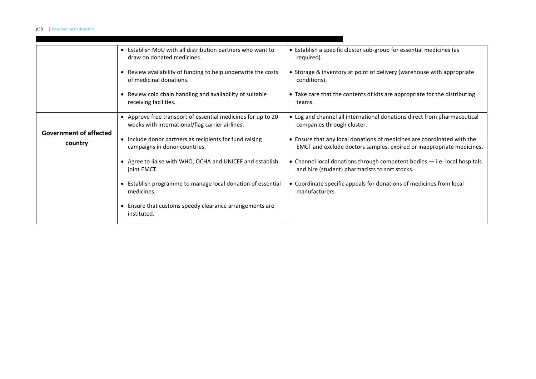#### p38 | Responding to disasters

|                                          | • Establish MoU with all distribution partners who want to<br>draw on donated medicines.                        | • Establish a specific cluster sub-group for essential medicines (as<br>required).                                                               |
|------------------------------------------|-----------------------------------------------------------------------------------------------------------------|--------------------------------------------------------------------------------------------------------------------------------------------------|
|                                          | • Review availability of funding to help underwrite the costs<br>of medicinal donations.                        | • Storage & inventory at point of delivery (warehouse with appropriate<br>conditions).                                                           |
|                                          | • Review cold chain handling and availability of suitable<br>receiving facilities.                              | • Take care that the contents of kits are appropriate for the distributing<br>teams.                                                             |
|                                          | • Approve free transport of essential medicines for up to 20<br>weeks with international/flag carrier airlines. | • Log and channel all international donations direct from pharmaceutical<br>companies through cluster.                                           |
| <b>Government of affected</b><br>country | • Include donor partners as recipients for fund raising<br>campaigns in donor countries.                        | • Ensure that any local donations of medicines are coordinated with the<br>EMCT and exclude doctors samples, expired or inappropriate medicines. |
|                                          | • Agree to liaise with WHO, OCHA and UNICEF and establish<br>joint EMCT.                                        | • Channel local donations through competent bodies - i.e. local hospitals<br>and hire (student) pharmacists to sort stocks.                      |
|                                          | Establish programme to manage local donation of essential<br>medicines.                                         | • Coordinate specific appeals for donations of medicines from local<br>manufacturers.                                                            |
|                                          | Ensure that customs speedy clearance arrangements are<br>$\bullet$<br>instituted.                               |                                                                                                                                                  |

e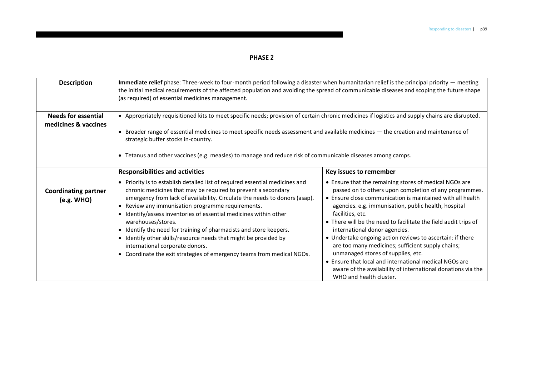### **PHASE 2**

| <b>Description</b>                                 | Immediate relief phase: Three-week to four-month period following a disaster when humanitarian relief is the principal priority — meeting<br>the initial medical requirements of the affected population and avoiding the spread of communicable diseases and scoping the future shape<br>(as required) of essential medicines management.                                                                                                                                                                                                                                                                                         |                                                                                                                                                                                                                                                                                                                                                                                                                                                                                                                                                                                                                                                                             |
|----------------------------------------------------|------------------------------------------------------------------------------------------------------------------------------------------------------------------------------------------------------------------------------------------------------------------------------------------------------------------------------------------------------------------------------------------------------------------------------------------------------------------------------------------------------------------------------------------------------------------------------------------------------------------------------------|-----------------------------------------------------------------------------------------------------------------------------------------------------------------------------------------------------------------------------------------------------------------------------------------------------------------------------------------------------------------------------------------------------------------------------------------------------------------------------------------------------------------------------------------------------------------------------------------------------------------------------------------------------------------------------|
| <b>Needs for essential</b><br>medicines & vaccines | • Appropriately requisitioned kits to meet specific needs; provision of certain chronic medicines if logistics and supply chains are disrupted.<br>• Broader range of essential medicines to meet specific needs assessment and available medicines — the creation and maintenance of<br>strategic buffer stocks in-country.<br>• Tetanus and other vaccines (e.g. measles) to manage and reduce risk of communicable diseases among camps.                                                                                                                                                                                        |                                                                                                                                                                                                                                                                                                                                                                                                                                                                                                                                                                                                                                                                             |
|                                                    | <b>Responsibilities and activities</b>                                                                                                                                                                                                                                                                                                                                                                                                                                                                                                                                                                                             | Key issues to remember                                                                                                                                                                                                                                                                                                                                                                                                                                                                                                                                                                                                                                                      |
| <b>Coordinating partner</b><br>(e.g. WHO)          | • Priority is to establish detailed list of required essential medicines and<br>chronic medicines that may be required to prevent a secondary<br>emergency from lack of availability. Circulate the needs to donors (asap).<br>• Review any immunisation programme requirements.<br>• Identify/assess inventories of essential medicines within other<br>warehouses/stores.<br>• Identify the need for training of pharmacists and store keepers.<br>• Identify other skills/resource needs that might be provided by<br>international corporate donors.<br>• Coordinate the exit strategies of emergency teams from medical NGOs. | • Ensure that the remaining stores of medical NGOs are<br>passed on to others upon completion of any programmes.<br>• Ensure close communication is maintained with all health<br>agencies. e.g. immunisation, public health, hospital<br>facilities, etc.<br>• There will be the need to facilitate the field audit trips of<br>international donor agencies.<br>• Undertake ongoing action reviews to ascertain: if there<br>are too many medicines; sufficient supply chains;<br>unmanaged stores of supplies, etc.<br>• Ensure that local and international medical NGOs are<br>aware of the availability of international donations via the<br>WHO and health cluster. |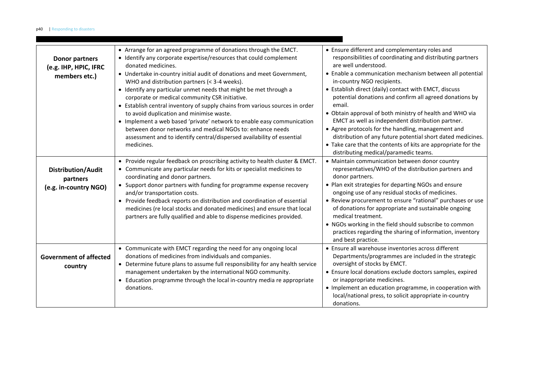#### p40 | Responding to disasters

| <b>Donor partners</b><br>(e.g. IHP, HPIC, IFRC<br>members etc.) | • Arrange for an agreed programme of donations through the EMCT.<br>• Identify any corporate expertise/resources that could complement<br>donated medicines.<br>• Undertake in-country initial audit of donations and meet Government,<br>WHO and distribution partners (< 3-4 weeks).<br>• Identify any particular unmet needs that might be met through a<br>corporate or medical community CSR initiative.<br>• Establish central inventory of supply chains from various sources in order<br>to avoid duplication and minimise waste.<br>• Implement a web based 'private' network to enable easy communication<br>between donor networks and medical NGOs to: enhance needs<br>assessment and to identify central/dispersed availability of essential<br>medicines. | • Ensure different and complementary roles and<br>responsibilities of coordinating and distributing partners<br>are well understood.<br>• Enable a communication mechanism between all potential<br>in-country NGO recipients.<br>• Establish direct (daily) contact with EMCT, discuss<br>potential donations and confirm all agreed donations by<br>email.<br>• Obtain approval of both ministry of health and WHO via<br>EMCT as well as independent distribution partner.<br>• Agree protocols for the handling, management and<br>distribution of any future potential short dated medicines.<br>• Take care that the contents of kits are appropriate for the<br>distributing medical/paramedic teams. |
|-----------------------------------------------------------------|--------------------------------------------------------------------------------------------------------------------------------------------------------------------------------------------------------------------------------------------------------------------------------------------------------------------------------------------------------------------------------------------------------------------------------------------------------------------------------------------------------------------------------------------------------------------------------------------------------------------------------------------------------------------------------------------------------------------------------------------------------------------------|--------------------------------------------------------------------------------------------------------------------------------------------------------------------------------------------------------------------------------------------------------------------------------------------------------------------------------------------------------------------------------------------------------------------------------------------------------------------------------------------------------------------------------------------------------------------------------------------------------------------------------------------------------------------------------------------------------------|
| <b>Distribution/Audit</b><br>partners<br>(e.g. in-country NGO)  | • Provide regular feedback on proscribing activity to health cluster & EMCT.<br>• Communicate any particular needs for kits or specialist medicines to<br>coordinating and donor partners.<br>• Support donor partners with funding for programme expense recovery<br>and/or transportation costs.<br>• Provide feedback reports on distribution and coordination of essential<br>medicines (re local stocks and donated medicines) and ensure that local<br>partners are fully qualified and able to dispense medicines provided.                                                                                                                                                                                                                                       | • Maintain communication between donor country<br>representatives/WHO of the distribution partners and<br>donor partners.<br>• Plan exit strategies for departing NGOs and ensure<br>ongoing use of any residual stocks of medicines.<br>• Review procurement to ensure "rational" purchases or use<br>of donations for appropriate and sustainable ongoing<br>medical treatment.<br>• NGOs working in the field should subscribe to common<br>practices regarding the sharing of information, inventory<br>and best practice.                                                                                                                                                                               |
| <b>Government of affected</b><br>country                        | • Communicate with EMCT regarding the need for any ongoing local<br>donations of medicines from individuals and companies.<br>• Determine future plans to assume full responsibility for any health service<br>management undertaken by the international NGO community.<br>• Education programme through the local in-country media re appropriate<br>donations.                                                                                                                                                                                                                                                                                                                                                                                                        | • Ensure all warehouse inventories across different<br>Departments/programmes are included in the strategic<br>oversight of stocks by EMCT.<br>• Ensure local donations exclude doctors samples, expired<br>or inappropriate medicines.<br>• Implement an education programme, in cooperation with<br>local/national press, to solicit appropriate in-country<br>donations.                                                                                                                                                                                                                                                                                                                                  |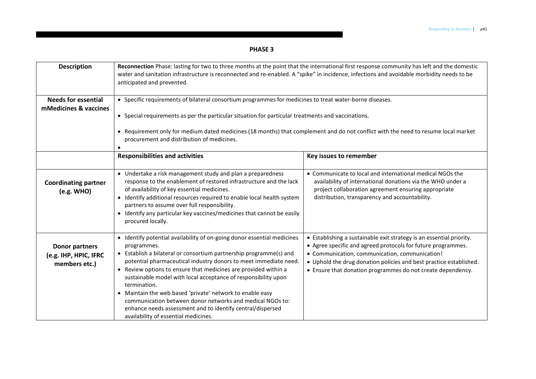### **PHASE 3**

| <b>Description</b>                                              | Reconnection Phase: lasting for two to three months at the point that the international first response community has left and the domestic<br>water and sanitation infrastructure is reconnected and re-enabled. A "spike" in incidence, infections and avoidable morbidity needs to be<br>anticipated and prevented.                                                                                                                                                                                                                                                                                                 |                                                                                                                                                                                                                                                                                                                             |
|-----------------------------------------------------------------|-----------------------------------------------------------------------------------------------------------------------------------------------------------------------------------------------------------------------------------------------------------------------------------------------------------------------------------------------------------------------------------------------------------------------------------------------------------------------------------------------------------------------------------------------------------------------------------------------------------------------|-----------------------------------------------------------------------------------------------------------------------------------------------------------------------------------------------------------------------------------------------------------------------------------------------------------------------------|
| <b>Needs for essential</b><br>mMedicines & vaccines             | • Specific requirements of bilateral consortium programmes for medicines to treat water-borne diseases.<br>• Special requirements as per the particular situation for particular treatments and vaccinations.<br>• Requirement only for medium dated medicines (18 months) that complement and do not conflict with the need to resume local market<br>procurement and distribution of medicines.                                                                                                                                                                                                                     |                                                                                                                                                                                                                                                                                                                             |
|                                                                 | <b>Responsibilities and activities</b>                                                                                                                                                                                                                                                                                                                                                                                                                                                                                                                                                                                | Key issues to remember                                                                                                                                                                                                                                                                                                      |
| <b>Coordinating partner</b><br>(e.g. WHO)                       | • Undertake a risk management study and plan a preparedness<br>response to the enablement of restored infrastructure and the lack<br>of availability of key essential medicines.<br>• Identify additional resources required to enable local health system<br>partners to assume over full responsibility.<br>• Identify any particular key vaccines/medicines that cannot be easily<br>procured locally.                                                                                                                                                                                                             | • Communicate to local and international medical NGOs the<br>availability of international donations via the WHO under a<br>project collaboration agreement ensuring appropriate<br>distribution, transparency and accountability.                                                                                          |
| <b>Donor partners</b><br>(e.g. IHP, HPIC, IFRC<br>members etc.) | • Identify potential availability of on-going donor essential medicines<br>programmes.<br>• Establish a bilateral or consortium partnership programme(s) and<br>potential pharmaceutical industry donors to meet immediate need.<br>• Review options to ensure that medicines are provided within a<br>sustainable model with local acceptance of responsibility upon<br>termination.<br>• Maintain the web based 'private' network to enable easy<br>communication between donor networks and medical NGOs to:<br>enhance needs assessment and to identify central/dispersed<br>availability of essential medicines. | • Establishing a sustainable exit strategy is an essential priority.<br>• Agree specific and agreed protocols for future programmes.<br>• Communication, communication, communication!<br>• Uphold the drug donation policies and best practice established.<br>• Ensure that donation programmes do not create dependency. |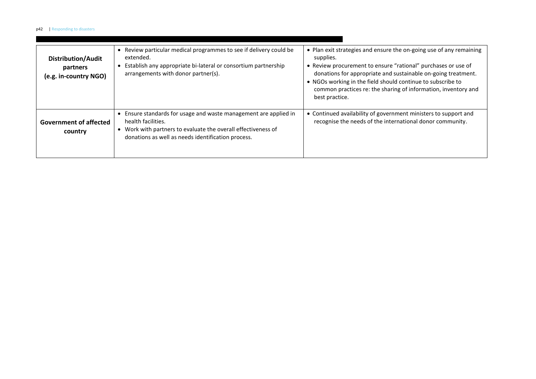#### p42 | Responding to disasters

| <b>Distribution/Audit</b><br>partners<br>(e.g. in-country NGO) | Review particular medical programmes to see if delivery could be<br>extended.<br>Establish any appropriate bi-lateral or consortium partnership<br>arrangements with donor partner(s).                    | • Plan exit strategies and ensure the on-going use of any remaining<br>supplies.<br>• Review procurement to ensure "rational" purchases or use of<br>donations for appropriate and sustainable on-going treatment.<br>• NGOs working in the field should continue to subscribe to<br>common practices re: the sharing of information, inventory and<br>best practice. |
|----------------------------------------------------------------|-----------------------------------------------------------------------------------------------------------------------------------------------------------------------------------------------------------|-----------------------------------------------------------------------------------------------------------------------------------------------------------------------------------------------------------------------------------------------------------------------------------------------------------------------------------------------------------------------|
| <b>Government of affected</b><br>country                       | Ensure standards for usage and waste management are applied in<br>health facilities.<br>Work with partners to evaluate the overall effectiveness of<br>donations as well as needs identification process. | • Continued availability of government ministers to support and<br>recognise the needs of the international donor community.                                                                                                                                                                                                                                          |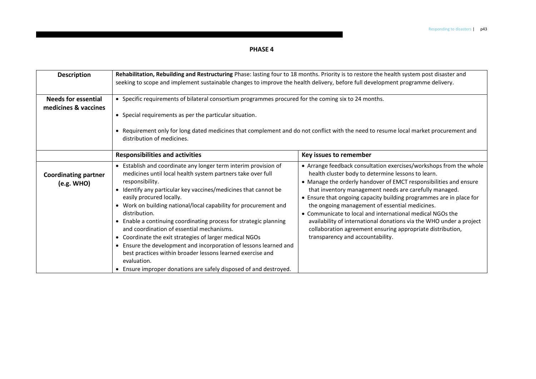**PHASE 4**

| <b>Description</b>                                 | Rehabilitation, Rebuilding and Restructuring Phase: lasting four to 18 months. Priority is to restore the health system post disaster and<br>seeking to scope and implement sustainable changes to improve the health delivery, before full development programme delivery.                                                                                                                                                                                                                                                                                                                                                                                                                                                                                                |                                                                                                                                                                                                                                                                                                                                                                                                                                                                                                                                                                                                                        |
|----------------------------------------------------|----------------------------------------------------------------------------------------------------------------------------------------------------------------------------------------------------------------------------------------------------------------------------------------------------------------------------------------------------------------------------------------------------------------------------------------------------------------------------------------------------------------------------------------------------------------------------------------------------------------------------------------------------------------------------------------------------------------------------------------------------------------------------|------------------------------------------------------------------------------------------------------------------------------------------------------------------------------------------------------------------------------------------------------------------------------------------------------------------------------------------------------------------------------------------------------------------------------------------------------------------------------------------------------------------------------------------------------------------------------------------------------------------------|
| <b>Needs for essential</b><br>medicines & vaccines | • Specific requirements of bilateral consortium programmes procured for the coming six to 24 months.<br>• Special requirements as per the particular situation.<br>Requirement only for long dated medicines that complement and do not conflict with the need to resume local market procurement and<br>distribution of medicines.                                                                                                                                                                                                                                                                                                                                                                                                                                        |                                                                                                                                                                                                                                                                                                                                                                                                                                                                                                                                                                                                                        |
|                                                    | <b>Responsibilities and activities</b>                                                                                                                                                                                                                                                                                                                                                                                                                                                                                                                                                                                                                                                                                                                                     | Key issues to remember                                                                                                                                                                                                                                                                                                                                                                                                                                                                                                                                                                                                 |
| <b>Coordinating partner</b><br>(e.g. WHO)          | • Establish and coordinate any longer term interim provision of<br>medicines until local health system partners take over full<br>responsibility.<br>Identify any particular key vaccines/medicines that cannot be<br>$\bullet$<br>easily procured locally.<br>• Work on building national/local capability for procurement and<br>distribution.<br>• Enable a continuing coordinating process for strategic planning<br>and coordination of essential mechanisms.<br>Coordinate the exit strategies of larger medical NGOs<br>$\bullet$<br>Ensure the development and incorporation of lessons learned and<br>$\bullet$<br>best practices within broader lessons learned exercise and<br>evaluation.<br>• Ensure improper donations are safely disposed of and destroyed. | • Arrange feedback consultation exercises/workshops from the whole<br>health cluster body to determine lessons to learn.<br>• Manage the orderly handover of EMCT responsibilities and ensure<br>that inventory management needs are carefully managed.<br>• Ensure that ongoing capacity building programmes are in place for<br>the ongoing management of essential medicines.<br>• Communicate to local and international medical NGOs the<br>availability of international donations via the WHO under a project<br>collaboration agreement ensuring appropriate distribution,<br>transparency and accountability. |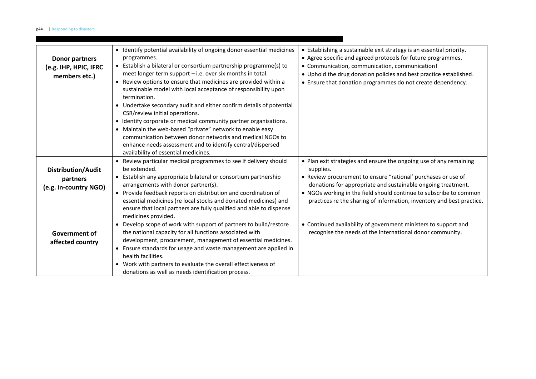#### p44 | Responding to disasters

| <b>Donor partners</b> | • Identify potential availability of ongoing donor essential medicines<br>programmes.    | • Establishing a sustainable exit strategy is an essential priority.<br>• Agree specific and agreed protocols for future programmes. |
|-----------------------|------------------------------------------------------------------------------------------|--------------------------------------------------------------------------------------------------------------------------------------|
|                       | • Establish a bilateral or consortium partnership programme(s) to                        | • Communication, communication, communication!                                                                                       |
| (e.g. IHP, HPIC, IFRC | meet longer term support - i.e. over six months in total.                                | • Uphold the drug donation policies and best practice established.                                                                   |
| members etc.)         | • Review options to ensure that medicines are provided within a                          | • Ensure that donation programmes do not create dependency.                                                                          |
|                       | sustainable model with local acceptance of responsibility upon                           |                                                                                                                                      |
|                       | termination.                                                                             |                                                                                                                                      |
|                       | • Undertake secondary audit and either confirm details of potential                      |                                                                                                                                      |
|                       | CSR/review initial operations.                                                           |                                                                                                                                      |
|                       | • Identify corporate or medical community partner organisations.                         |                                                                                                                                      |
|                       | • Maintain the web-based "private" network to enable easy                                |                                                                                                                                      |
|                       | communication between donor networks and medical NGOs to                                 |                                                                                                                                      |
|                       | enhance needs assessment and to identify central/dispersed                               |                                                                                                                                      |
|                       | availability of essential medicines.                                                     |                                                                                                                                      |
|                       | • Review particular medical programmes to see if delivery should                         | • Plan exit strategies and ensure the ongoing use of any remaining                                                                   |
| Distribution/Audit    | be extended.                                                                             | supplies.                                                                                                                            |
| partners              | • Establish any appropriate bilateral or consortium partnership                          | • Review procurement to ensure "rational' purchases or use of                                                                        |
| (e.g. in-country NGO) | arrangements with donor partner(s).                                                      | donations for appropriate and sustainable ongoing treatment.                                                                         |
|                       | • Provide feedback reports on distribution and coordination of                           | • NGOs working in the field should continue to subscribe to common                                                                   |
|                       | essential medicines (re local stocks and donated medicines) and                          | practices re the sharing of information, inventory and best practice.                                                                |
|                       | ensure that local partners are fully qualified and able to dispense                      |                                                                                                                                      |
|                       | medicines provided.<br>• Develop scope of work with support of partners to build/restore | • Continued availability of government ministers to support and                                                                      |
|                       | the national capacity for all functions associated with                                  | recognise the needs of the international donor community.                                                                            |
| Government of         | development, procurement, management of essential medicines.                             |                                                                                                                                      |
| affected country      | • Ensure standards for usage and waste management are applied in                         |                                                                                                                                      |
|                       | health facilities.                                                                       |                                                                                                                                      |
|                       | • Work with partners to evaluate the overall effectiveness of                            |                                                                                                                                      |
|                       | donations as well as needs identification process.                                       |                                                                                                                                      |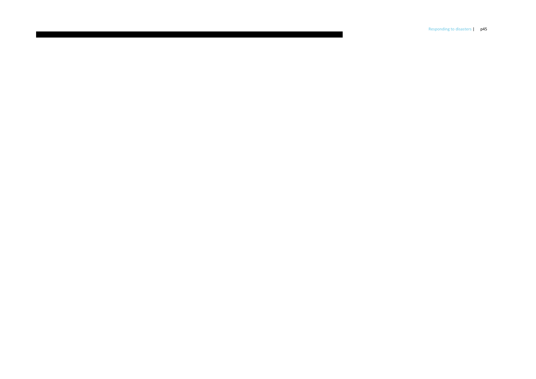Responding to disasters | p45